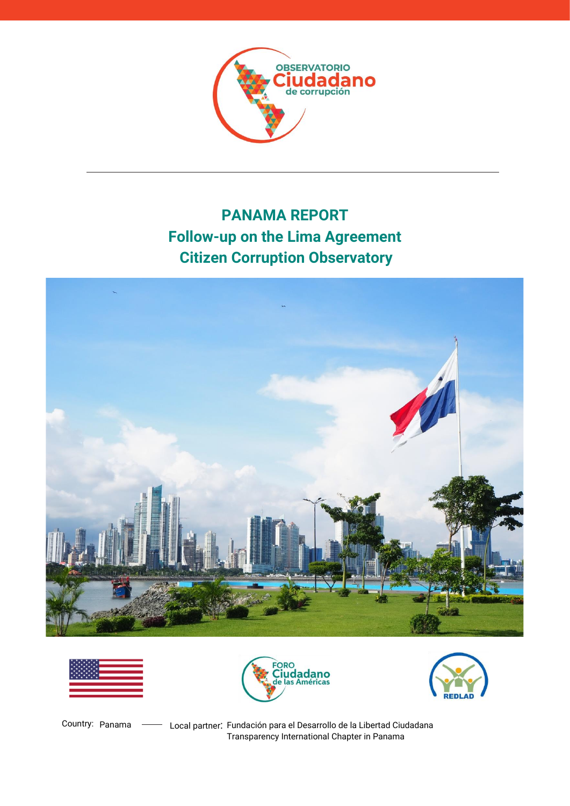

# **PANAMA REPORT Follow-up on the Lima Agreement Citizen Corruption Observatory**









Country: Panama - Local partner: Fundación para el Desarrollo de la Libertad Ciudadana Transparency International Chapter in Panama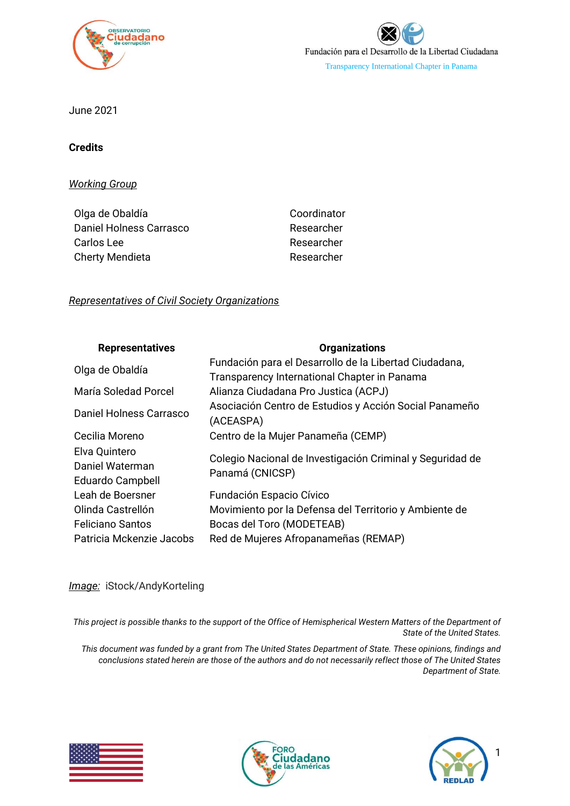



June 2021

### **Credits**

*Working Group*

| Coordinator |
|-------------|
| Researcher  |
| Researcher  |
| Researcher  |
|             |

### *Representatives of Civil Society Organizations*

| <b>Representatives</b>                               | <b>Organizations</b>                                                                                   |
|------------------------------------------------------|--------------------------------------------------------------------------------------------------------|
| Olga de Obaldía                                      | Fundación para el Desarrollo de la Libertad Ciudadana,<br>Transparency International Chapter in Panama |
| María Soledad Porcel                                 | Alianza Ciudadana Pro Justica (ACPJ)                                                                   |
| Daniel Holness Carrasco                              | Asociación Centro de Estudios y Acción Social Panameño<br>(ACEASPA)                                    |
| Cecilia Moreno                                       | Centro de la Mujer Panameña (CEMP)                                                                     |
| Elva Quintero<br>Daniel Waterman<br>Eduardo Campbell | Colegio Nacional de Investigación Criminal y Seguridad de<br>Panamá (CNICSP)                           |
| Leah de Boersner                                     | Fundación Espacio Cívico                                                                               |
| Olinda Castrellón                                    | Movimiento por la Defensa del Territorio y Ambiente de                                                 |
| <b>Feliciano Santos</b>                              | Bocas del Toro (MODETEAB)                                                                              |
| Patricia Mckenzie Jacobs                             | Red de Mujeres Afropanameñas (REMAP)                                                                   |

### *Image:* iStock/AndyKorteling

*This project is possible thanks to the support of the Office of Hemispherical Western Matters of the Department of State of the United States.* 

*This document was funded by a grant from The United States Department of State. These opinions, findings and conclusions stated herein are those of the authors and do not necessarily reflect those of The United States Department of State.*





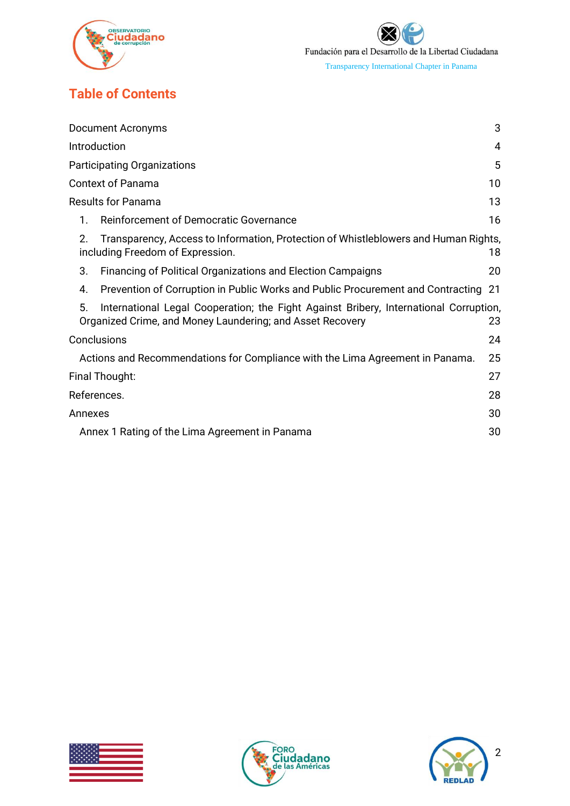

# **Table of Contents**

| <b>Document Acronyms</b>                                                                                                                                 | 3  |
|----------------------------------------------------------------------------------------------------------------------------------------------------------|----|
| Introduction                                                                                                                                             | 4  |
| <b>Participating Organizations</b>                                                                                                                       | 5  |
| <b>Context of Panama</b>                                                                                                                                 | 10 |
| <b>Results for Panama</b>                                                                                                                                | 13 |
| Reinforcement of Democratic Governance<br>1.                                                                                                             | 16 |
| 2.<br>Transparency, Access to Information, Protection of Whistleblowers and Human Rights,<br>including Freedom of Expression.                            | 18 |
| 3.<br><b>Financing of Political Organizations and Election Campaigns</b>                                                                                 | 20 |
| 4.<br>Prevention of Corruption in Public Works and Public Procurement and Contracting 21                                                                 |    |
| 5.<br>International Legal Cooperation; the Fight Against Bribery, International Corruption,<br>Organized Crime, and Money Laundering; and Asset Recovery | 23 |
| Conclusions                                                                                                                                              | 24 |
| Actions and Recommendations for Compliance with the Lima Agreement in Panama.                                                                            | 25 |
| Final Thought:                                                                                                                                           | 27 |
| References.                                                                                                                                              | 28 |
| Annexes                                                                                                                                                  | 30 |
| Annex 1 Rating of the Lima Agreement in Panama                                                                                                           | 30 |





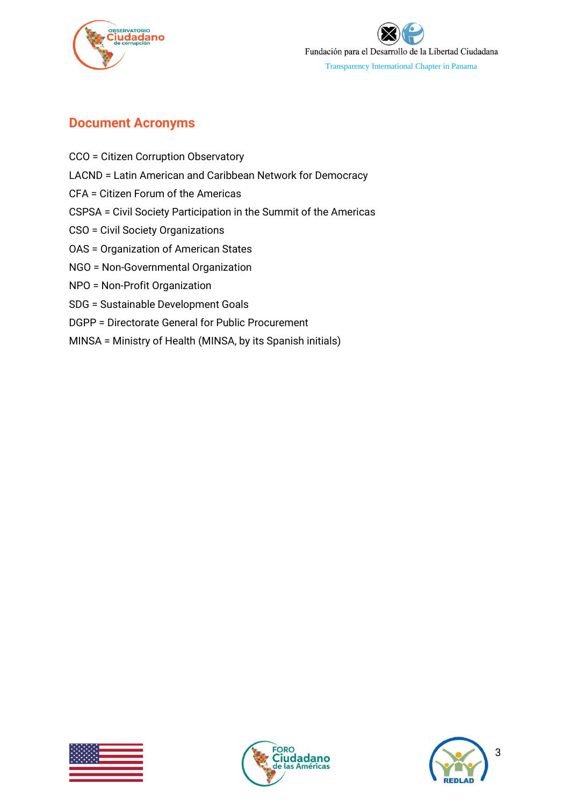



## <span id="page-3-0"></span>**Document Acronyms**

- CCO = Citizen Corruption Observatory
- LACND = Latin American and Caribbean Network for Democracy
- CFA = Citizen Forum of the Americas
- CSPSA = Civil Society Participation in the Summit of the Americas
- CSO = Civil Society Organizations
- OAS = Organization of American States
- NGO = Non-Governmental Organization
- NPO = Non-Profit Organization
- SDG = Sustainable Development Goals
- DGPP = Directorate General for Public Procurement
- MINSA = Ministry of Health (MINSA, by its Spanish initials)





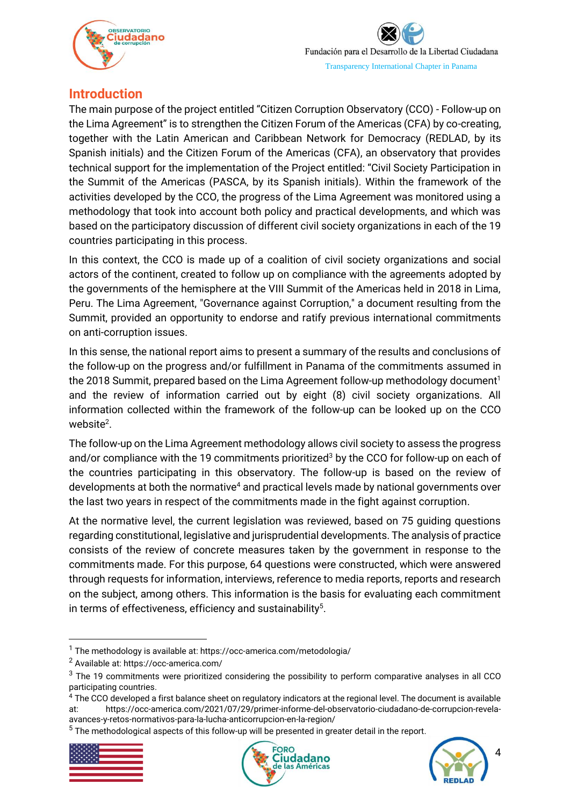

## <span id="page-4-0"></span>**Introduction**

The main purpose of the project entitled "Citizen Corruption Observatory (CCO) - Follow-up on the Lima Agreement" is to strengthen the Citizen Forum of the Americas (CFA) by co-creating, together with the Latin American and Caribbean Network for Democracy (REDLAD, by its Spanish initials) and the Citizen Forum of the Americas (CFA), an observatory that provides technical support for the implementation of the Project entitled: "Civil Society Participation in the Summit of the Americas (PASCA, by its Spanish initials). Within the framework of the activities developed by the CCO, the progress of the Lima Agreement was monitored using a methodology that took into account both policy and practical developments, and which was based on the participatory discussion of different civil society organizations in each of the 19 countries participating in this process.

In this context, the CCO is made up of a coalition of civil society organizations and social actors of the continent, created to follow up on compliance with the agreements adopted by the governments of the hemisphere at the VIII Summit of the Americas held in 2018 in Lima, Peru. The Lima Agreement, "Governance against Corruption," a document resulting from the Summit, provided an opportunity to endorse and ratify previous international commitments on anti-corruption issues.

In this sense, the national report aims to present a summary of the results and conclusions of the follow-up on the progress and/or fulfillment in Panama of the commitments assumed in the 2018 Summit, prepared based on the Lima Agreement follow-up methodology document<sup>1</sup> and the review of information carried out by eight (8) civil society organizations. All information collected within the framework of the follow-up can be looked up on the CCO website<sup>2</sup>.

The follow-up on the Lima Agreement methodology allows civil society to assess the progress and/or compliance with the 19 commitments prioritized<sup>3</sup> by the CCO for follow-up on each of the countries participating in this observatory. The follow-up is based on the review of developments at both the normative<sup>4</sup> and practical levels made by national governments over the last two years in respect of the commitments made in the fight against corruption.

At the normative level, the current legislation was reviewed, based on 75 guiding questions regarding constitutional, legislative and jurisprudential developments. The analysis of practice consists of the review of concrete measures taken by the government in response to the commitments made. For this purpose, 64 questions were constructed, which were answered through requests for information, interviews, reference to media reports, reports and research on the subject, among others. This information is the basis for evaluating each commitment in terms of effectiveness, efficiency and sustainability $5$ .

 $5$  The methodological aspects of this follow-up will be presented in greater detail in the report.







 $1$  The methodology is available at: https://occ-america.com/metodologia/

<sup>2</sup> Available at: https://occ-america.com/

<sup>&</sup>lt;sup>3</sup> The 19 commitments were prioritized considering the possibility to perform comparative analyses in all CCO participating countries.

<sup>4</sup> The CCO developed a first balance sheet on regulatory indicators at the regional level. The document is available at: https://occ-america.com/2021/07/29/primer-informe-del-observatorio-ciudadano-de-corrupcion-revelaavances-y-retos-normativos-para-la-lucha-anticorrupcion-en-la-region/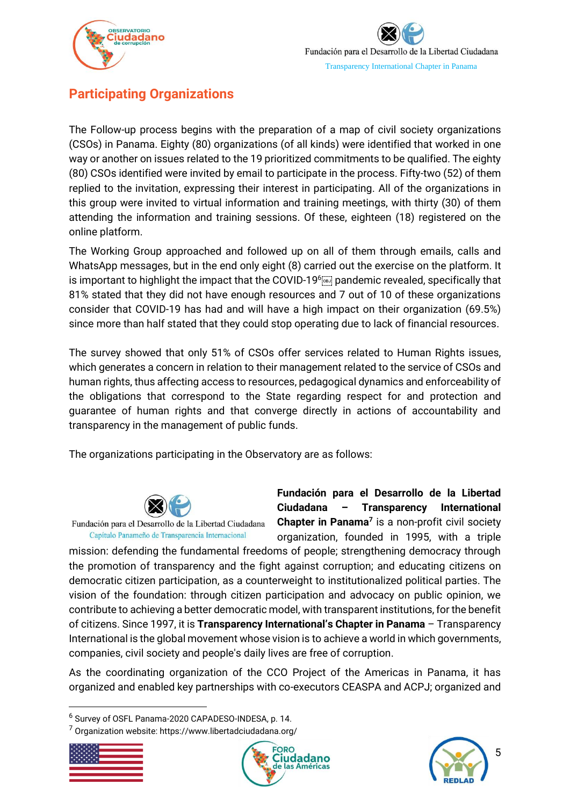

# <span id="page-5-0"></span>**Participating Organizations**

The Follow-up process begins with the preparation of a map of civil society organizations (CSOs) in Panama. Eighty (80) organizations (of all kinds) were identified that worked in one way or another on issues related to the 19 prioritized commitments to be qualified. The eighty (80) CSOs identified were invited by email to participate in the process. Fifty-two (52) of them replied to the invitation, expressing their interest in participating. All of the organizations in this group were invited to virtual information and training meetings, with thirty (30) of them attending the information and training sessions. Of these, eighteen (18) registered on the online platform.

The Working Group approached and followed up on all of them through emails, calls and WhatsApp messages, but in the end only eight (8) carried out the exercise on the platform. It is important to highlight the impact that the COVID-19<sup>6</sup> pandemic revealed, specifically that 81% stated that they did not have enough resources and 7 out of 10 of these organizations consider that COVID-19 has had and will have a high impact on their organization (69.5%) since more than half stated that they could stop operating due to lack of financial resources.

The survey showed that only 51% of CSOs offer services related to Human Rights issues, which generates a concern in relation to their management related to the service of CSOs and human rights, thus affecting access to resources, pedagogical dynamics and enforceability of the obligations that correspond to the State regarding respect for and protection and guarantee of human rights and that converge directly in actions of accountability and transparency in the management of public funds.

The organizations participating in the Observatory are as follows:



Fundación para el Desarrollo de la Libertad Ciudadana Capítulo Panameño de Transparencia Internacional

**Fundación para el Desarrollo de la Libertad Ciudadana – Transparency International Chapter in Panama<sup>7</sup>** is a non-profit civil society organization, founded in 1995, with a triple

mission: defending the fundamental freedoms of people; strengthening democracy through the promotion of transparency and the fight against corruption; and educating citizens on democratic citizen participation, as a counterweight to institutionalized political parties. The vision of the foundation: through citizen participation and advocacy on public opinion, we contribute to achieving a better democratic model, with transparent institutions, for the benefit of citizens. Since 1997, it is **Transparency International's Chapter in Panama** – Transparency International is the global movement whose vision is to achieve a world in which governments, companies, civil society and people's daily lives are free of corruption.

As the coordinating organization of the CCO Project of the Americas in Panama, it has organized and enabled key partnerships with co-executors CEASPA and ACPJ; organized and

 $7$  Organization website: https://www.libertadciudadana.org/







<sup>6</sup> Survey of OSFL Panama-2020 CAPADESO-INDESA, p. 14.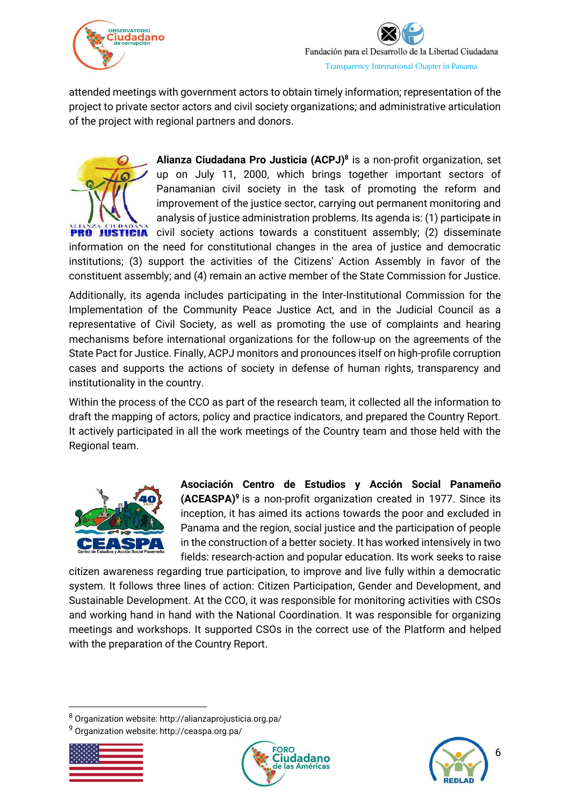

attended meetings with government actors to obtain timely information; representation of the project to private sector actors and civil society organizations; and administrative articulation of the project with regional partners and donors.



**Alianza Ciudadana Pro Justicia (ACPJ) 8** is a non-profit organization, set up on July 11, 2000, which brings together important sectors of Panamanian civil society in the task of promoting the reform and improvement of the justice sector, carrying out permanent monitoring and analysis of justice administration problems. Its agenda is: (1) participate in **JUSTICIA** civil society actions towards a constituent assembly; (2) disseminate

information on the need for constitutional changes in the area of justice and democratic institutions; (3) support the activities of the Citizens' Action Assembly in favor of the constituent assembly; and (4) remain an active member of the State Commission for Justice.

Additionally, its agenda includes participating in the Inter-Institutional Commission for the Implementation of the Community Peace Justice Act, and in the Judicial Council as a representative of Civil Society, as well as promoting the use of complaints and hearing mechanisms before international organizations for the follow-up on the agreements of the State Pact for Justice. Finally, ACPJ monitors and pronounces itself on high-profile corruption cases and supports the actions of society in defense of human rights, transparency and institutionality in the country.

Within the process of the CCO as part of the research team, it collected all the information to draft the mapping of actors, policy and practice indicators, and prepared the Country Report. It actively participated in all the work meetings of the Country team and those held with the Regional team.



**Asociación Centro de Estudios y Acción Social Panameño (ACEASPA) 9** is a non-profit organization created in 1977. Since its inception, it has aimed its actions towards the poor and excluded in Panama and the region, social justice and the participation of people in the construction of a better society. It has worked intensively in two fields: research-action and popular education. Its work seeks to raise

citizen awareness regarding true participation, to improve and live fully within a democratic system. It follows three lines of action: Citizen Participation, Gender and Development, and Sustainable Development. At the CCO, it was responsible for monitoring activities with CSOs and working hand in hand with the National Coordination. It was responsible for organizing meetings and workshops. It supported CSOs in the correct use of the Platform and helped with the preparation of the Country Report.

<sup>9</sup> Organization website: http://ceaspa.org.pa/







<sup>8</sup> Organization website: http://alianzaprojusticia.org.pa/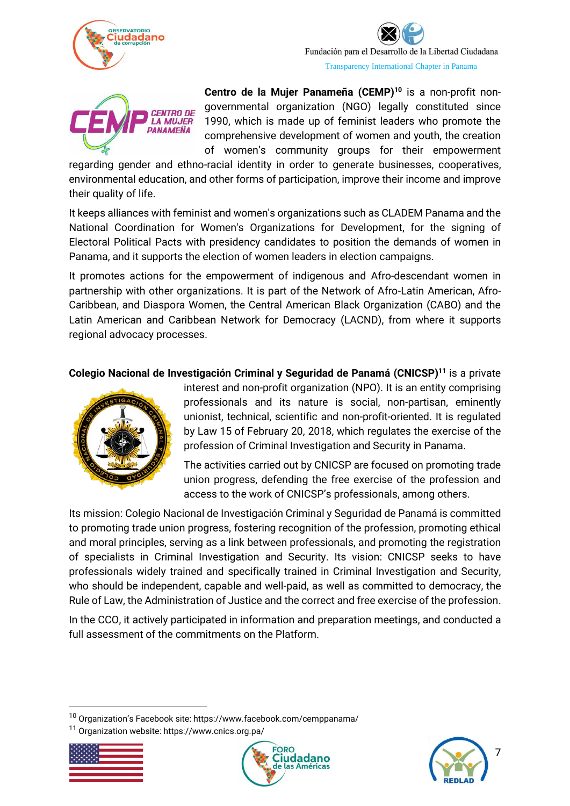



**Centro de la Mujer Panameña (CEMP) <sup>10</sup>** is a non-profit nongovernmental organization (NGO) legally constituted since 1990, which is made up of feminist leaders who promote the comprehensive development of women and youth, the creation of women's community groups for their empowerment

regarding gender and ethno-racial identity in order to generate businesses, cooperatives, environmental education, and other forms of participation, improve their income and improve their quality of life.

It keeps alliances with feminist and women's organizations such as CLADEM Panama and the National Coordination for Women's Organizations for Development, for the signing of Electoral Political Pacts with presidency candidates to position the demands of women in Panama, and it supports the election of women leaders in election campaigns.

It promotes actions for the empowerment of indigenous and Afro-descendant women in partnership with other organizations. It is part of the Network of Afro-Latin American, Afro-Caribbean, and Diaspora Women, the Central American Black Organization (CABO) and the Latin American and Caribbean Network for Democracy (LACND), from where it supports regional advocacy processes.

**Colegio Nacional de Investigación Criminal y Seguridad de Panamá (CNICSP) <sup>11</sup>** is a private



interest and non-profit organization (NPO). It is an entity comprising professionals and its nature is social, non-partisan, eminently unionist, technical, scientific and non-profit-oriented. It is regulated by Law 15 of February 20, 2018, which regulates the exercise of the profession of Criminal Investigation and Security in Panama.

The activities carried out by CNICSP are focused on promoting trade union progress, defending the free exercise of the profession and access to the work of CNICSP's professionals, among others.

Its mission: Colegio Nacional de Investigación Criminal y Seguridad de Panamá is committed to promoting trade union progress, fostering recognition of the profession, promoting ethical and moral principles, serving as a link between professionals, and promoting the registration of specialists in Criminal Investigation and Security. Its vision: CNICSP seeks to have professionals widely trained and specifically trained in Criminal Investigation and Security, who should be independent, capable and well-paid, as well as committed to democracy, the Rule of Law, the Administration of Justice and the correct and free exercise of the profession.

In the CCO, it actively participated in information and preparation meetings, and conducted a full assessment of the commitments on the Platform.

<sup>11</sup> Organization website: https://www.cnics.org.pa/







 $10$  Organization's Facebook site: https://www.facebook.com/cemppanama/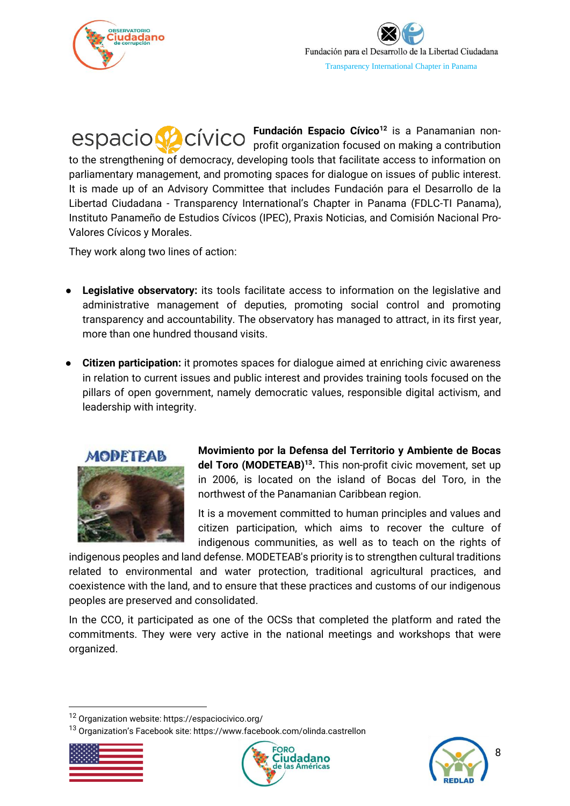

**Fundación Espacio Cívico<sup>12</sup>** is a Panamanian nonprofit organization focused on making a contribution to the strengthening of democracy, developing tools that facilitate access to information on parliamentary management, and promoting spaces for dialogue on issues of public interest. It is made up of an Advisory Committee that includes Fundación para el Desarrollo de la Libertad Ciudadana - Transparency International's Chapter in Panama (FDLC-TI Panama), Instituto Panameño de Estudios Cívicos (IPEC), Praxis Noticias, and Comisión Nacional Pro-Valores Cívicos y Morales.

They work along two lines of action:

- **Legislative observatory:** its tools facilitate access to information on the legislative and administrative management of deputies, promoting social control and promoting transparency and accountability. The observatory has managed to attract, in its first year, more than one hundred thousand visits.
- **Citizen participation:** it promotes spaces for dialogue aimed at enriching civic awareness in relation to current issues and public interest and provides training tools focused on the pillars of open government, namely democratic values, responsible digital activism, and leadership with integrity.



**Movimiento por la Defensa del Territorio y Ambiente de Bocas del Toro (MODETEAB) 13 .** This non-profit civic movement, set up in 2006, is located on the island of Bocas del Toro, in the northwest of the Panamanian Caribbean region.

It is a movement committed to human principles and values and citizen participation, which aims to recover the culture of indigenous communities, as well as to teach on the rights of

indigenous peoples and land defense. MODETEAB's priority is to strengthen cultural traditions related to environmental and water protection, traditional agricultural practices, and coexistence with the land, and to ensure that these practices and customs of our indigenous peoples are preserved and consolidated.

In the CCO, it participated as one of the OCSs that completed the platform and rated the commitments. They were very active in the national meetings and workshops that were organized.

<sup>13</sup> Organization's Facebook site: https://www.facebook.com/olinda.castrellon







<sup>12</sup> Organization website: https://espaciocivico.org/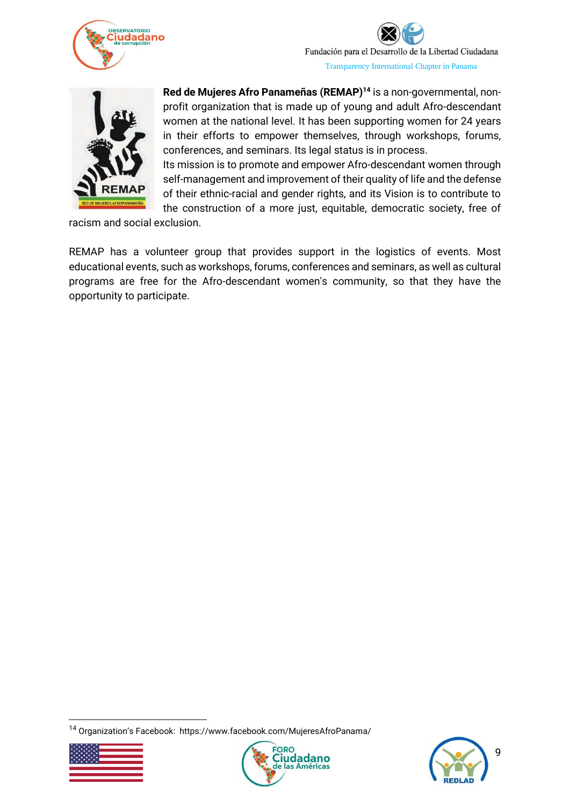



**Red de Mujeres Afro Panameñas (REMAP) <sup>14</sup>** is a non-governmental, nonprofit organization that is made up of young and adult Afro-descendant women at the national level. It has been supporting women for 24 years in their efforts to empower themselves, through workshops, forums, conferences, and seminars. Its legal status is in process.

Its mission is to promote and empower Afro-descendant women through self-management and improvement of their quality of life and the defense of their ethnic-racial and gender rights, and its Vision is to contribute to the construction of a more just, equitable, democratic society, free of

racism and social exclusion.

REMAP has a volunteer group that provides support in the logistics of events. Most educational events, such as workshops, forums, conferences and seminars, as well as cultural programs are free for the Afro-descendant women's community, so that they have the opportunity to participate.

<sup>14</sup> Organization's Facebook: https://www.facebook.com/MujeresAfroPanama/





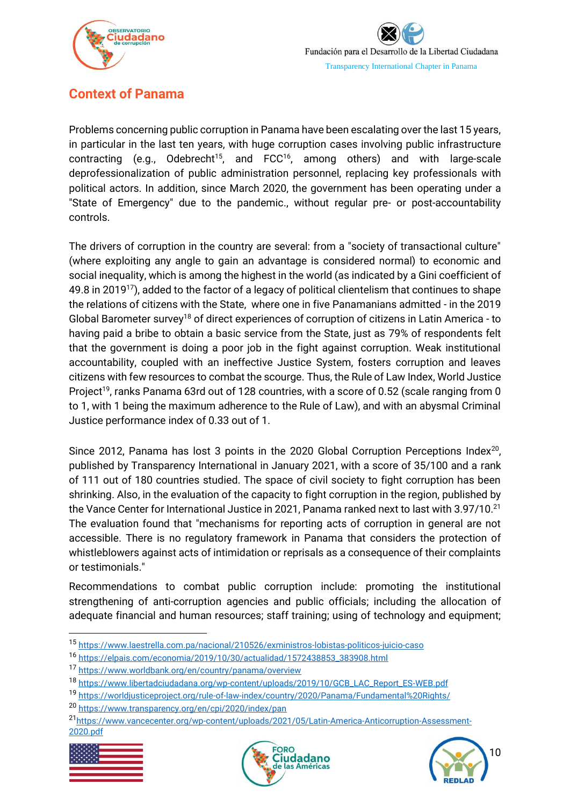

# <span id="page-10-0"></span>**Context of Panama**

Problems concerning public corruption in Panama have been escalating over the last 15 years, in particular in the last ten years, with huge corruption cases involving public infrastructure contracting (e.g., Odebrecht<sup>15</sup>, and FCC<sup>16</sup>, among others) and with large-scale deprofessionalization of public administration personnel, replacing key professionals with political actors. In addition, since March 2020, the government has been operating under a "State of Emergency" due to the pandemic., without regular pre- or post-accountability controls.

The drivers of corruption in the country are several: from a "society of transactional culture" (where exploiting any angle to gain an advantage is considered normal) to economic and social inequality, which is among the highest in the world (as indicated by a Gini coefficient of 49.8 in 2019<sup>17</sup>), added to the factor of a legacy of political clientelism that continues to shape the relations of citizens with the State, where one in five Panamanians admitted - in the 2019 Global Barometer survey<sup>18</sup> of direct experiences of corruption of citizens in Latin America - to having paid a bribe to obtain a basic service from the State, just as 79% of respondents felt that the government is doing a poor job in the fight against corruption. Weak institutional accountability, coupled with an ineffective Justice System, fosters corruption and leaves citizens with few resources to combat the scourge. Thus, the Rule of Law Index, World Justice Project<sup>19</sup>, ranks Panama 63rd out of 128 countries, with a score of 0.52 (scale ranging from 0 to 1, with 1 being the maximum adherence to the Rule of Law), and with an abysmal Criminal Justice performance index of 0.33 out of 1.

Since 2012, Panama has lost 3 points in the 2020 Global Corruption Perceptions Index<sup>20</sup>, published by Transparency International in January 2021, with a score of 35/100 and a rank of 111 out of 180 countries studied. The space of civil society to fight corruption has been shrinking. Also, in the evaluation of the capacity to fight corruption in the region, published by the Vance Center for International Justice in 2021, Panama ranked next to last with 3.97/10.<sup>21</sup> The evaluation found that "mechanisms for reporting acts of corruption in general are not accessible. There is no regulatory framework in Panama that considers the protection of whistleblowers against acts of intimidation or reprisals as a consequence of their complaints or testimonials."

Recommendations to combat public corruption include: promoting the institutional strengthening of anti-corruption agencies and public officials; including the allocation of adequate financial and human resources; staff training; using of technology and equipment;

<sup>21</sup>[https://www.vancecenter.org/wp-content/uploads/2021/05/Latin-America-Anticorruption-Assessment-](https://www.vancecenter.org/wp-content/uploads/2021/05/Latin-America-Anticorruption-Assessment-2020.pdf)[2020.pdf](https://www.vancecenter.org/wp-content/uploads/2021/05/Latin-America-Anticorruption-Assessment-2020.pdf)







<sup>15</sup> <https://www.laestrella.com.pa/nacional/210526/exministros-lobistas-politicos-juicio-caso>

<sup>16</sup> [https://elpais.com/economia/2019/10/30/actualidad/1572438853\\_383908.html](https://elpais.com/economia/2019/10/30/actualidad/1572438853_383908.html)

<sup>17</sup> <https://www.worldbank.org/en/country/panama/overview>

<sup>18</sup> [https://www.libertadciudadana.org/wp-content/uploads/2019/10/GCB\\_LAC\\_Report\\_ES-WEB.pdf](https://www.libertadciudadana.org/wp-content/uploads/2019/10/GCB_LAC_Report_ES-WEB.pdf)

<sup>19</sup> <https://worldjusticeproject.org/rule-of-law-index/country/2020/Panama/Fundamental%20Rights/>

<sup>20</sup> <https://www.transparency.org/en/cpi/2020/index/pan>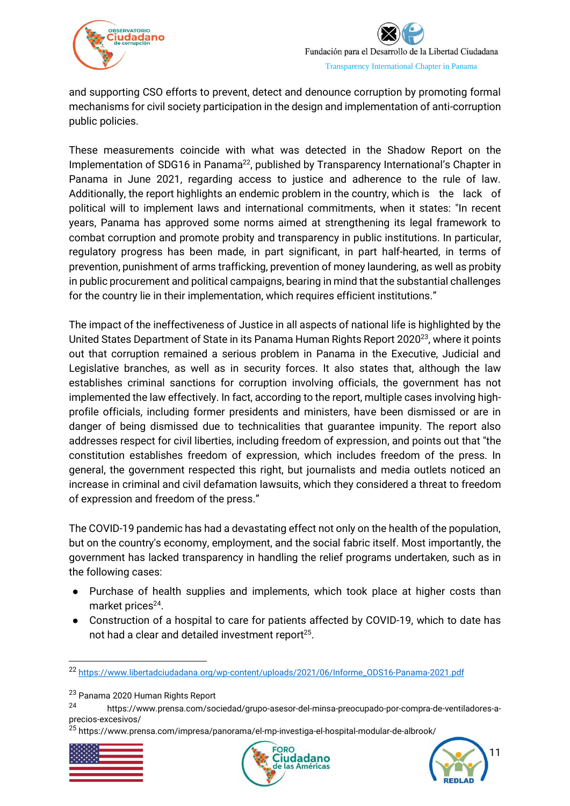



and supporting CSO efforts to prevent, detect and denounce corruption by promoting formal mechanisms for civil society participation in the design and implementation of anti-corruption public policies.

These measurements coincide with what was detected in the Shadow Report on the Implementation of SDG16 in Panama<sup>22</sup>, published by Transparency International's Chapter in Panama in June 2021, regarding access to justice and adherence to the rule of law. Additionally, the report highlights an endemic problem in the country, which is the lack of political will to implement laws and international commitments, when it states: "In recent years, Panama has approved some norms aimed at strengthening its legal framework to combat corruption and promote probity and transparency in public institutions. In particular, regulatory progress has been made, in part significant, in part half-hearted, in terms of prevention, punishment of arms trafficking, prevention of money laundering, as well as probity in public procurement and political campaigns, bearing in mind that the substantial challenges for the country lie in their implementation, which requires efficient institutions."

The impact of the ineffectiveness of Justice in all aspects of national life is highlighted by the United States Department of State in its Panama Human Rights Report 2020<sup>23</sup>, where it points out that corruption remained a serious problem in Panama in the Executive, Judicial and Legislative branches, as well as in security forces. It also states that, although the law establishes criminal sanctions for corruption involving officials, the government has not implemented the law effectively. In fact, according to the report, multiple cases involving highprofile officials, including former presidents and ministers, have been dismissed or are in danger of being dismissed due to technicalities that guarantee impunity. The report also addresses respect for civil liberties, including freedom of expression, and points out that "the constitution establishes freedom of expression, which includes freedom of the press. In general, the government respected this right, but journalists and media outlets noticed an increase in criminal and civil defamation lawsuits, which they considered a threat to freedom of expression and freedom of the press."

The COVID-19 pandemic has had a devastating effect not only on the health of the population, but on the country's economy, employment, and the social fabric itself. Most importantly, the government has lacked transparency in handling the relief programs undertaken, such as in the following cases:

- Purchase of health supplies and implements, which took place at higher costs than market prices<sup>24</sup>.
- Construction of a hospital to care for patients affected by COVID-19, which to date has not had a clear and detailed investment report $25$ .

<sup>&</sup>lt;sup>25</sup> https://www.prensa.com/impresa/panorama/el-mp-investiga-el-hospital-modular-de-albrook/







<sup>22</sup> [https://www.libertadciudadana.org/wp-content/uploads/2021/06/Informe\\_ODS16-Panama-2021.pdf](https://www.libertadciudadana.org/wp-content/uploads/2021/06/Informe_ODS16-Panama-2021.pdf)

<sup>23</sup> Panama 2020 Human Rights Report

<sup>24</sup> https://www.prensa.com/sociedad/grupo-asesor-del-minsa-preocupado-por-compra-de-ventiladores-aprecios-excesivos/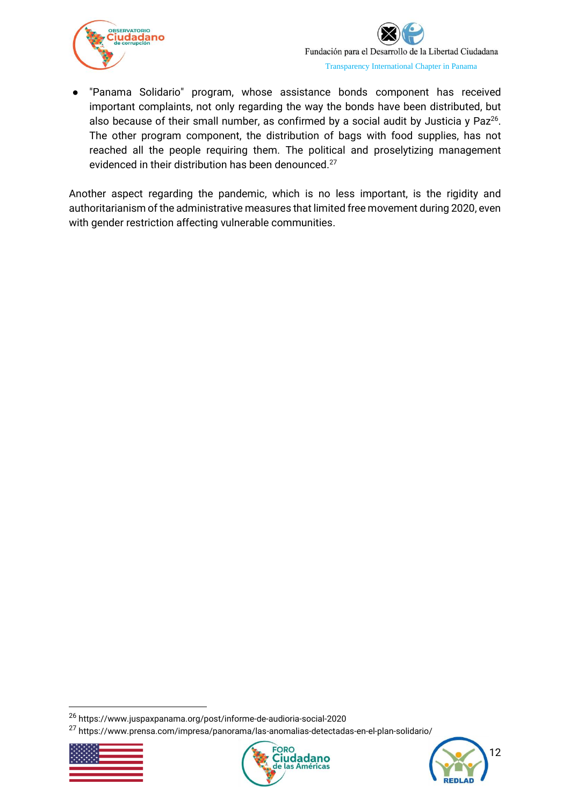

● "Panama Solidario" program, whose assistance bonds component has received important complaints, not only regarding the way the bonds have been distributed, but also because of their small number, as confirmed by a social audit by Justicia y Paz<sup>26</sup>. The other program component, the distribution of bags with food supplies, has not reached all the people requiring them. The political and proselytizing management evidenced in their distribution has been denounced. 27

Another aspect regarding the pandemic, which is no less important, is the rigidity and authoritarianism of the administrative measures that limited free movement during 2020, even with gender restriction affecting vulnerable communities.

<sup>27</sup> https://www.prensa.com/impresa/panorama/las-anomalias-detectadas-en-el-plan-solidario/







<sup>26</sup> https://www.juspaxpanama.org/post/informe-de-audioria-social-2020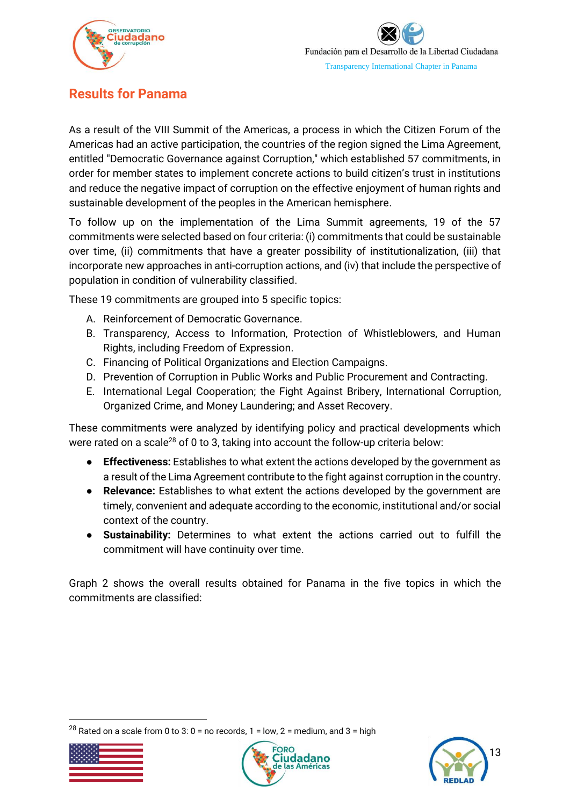

# <span id="page-13-0"></span>**Results for Panama**

As a result of the VIII Summit of the Americas, a process in which the Citizen Forum of the Americas had an active participation, the countries of the region signed the Lima Agreement, entitled "Democratic Governance against Corruption," which established 57 commitments, in order for member states to implement concrete actions to build citizen's trust in institutions and reduce the negative impact of corruption on the effective enjoyment of human rights and sustainable development of the peoples in the American hemisphere.

To follow up on the implementation of the Lima Summit agreements, 19 of the 57 commitments were selected based on four criteria: (i) commitments that could be sustainable over time, (ii) commitments that have a greater possibility of institutionalization, (iii) that incorporate new approaches in anti-corruption actions, and (iv) that include the perspective of population in condition of vulnerability classified.

These 19 commitments are grouped into 5 specific topics:

- A. Reinforcement of Democratic Governance.
- B. Transparency, Access to Information, Protection of Whistleblowers, and Human Rights, including Freedom of Expression.
- C. Financing of Political Organizations and Election Campaigns.
- D. Prevention of Corruption in Public Works and Public Procurement and Contracting.
- E. International Legal Cooperation; the Fight Against Bribery, International Corruption, Organized Crime, and Money Laundering; and Asset Recovery.

These commitments were analyzed by identifying policy and practical developments which were rated on a scale<sup>28</sup> of 0 to 3, taking into account the follow-up criteria below:

- **Effectiveness:** Establishes to what extent the actions developed by the government as a result of the Lima Agreement contribute to the fight against corruption in the country.
- **Relevance:** Establishes to what extent the actions developed by the government are timely, convenient and adequate according to the economic, institutional and/or social context of the country.
- **Sustainability:** Determines to what extent the actions carried out to fulfill the commitment will have continuity over time.

Graph 2 shows the overall results obtained for Panama in the five topics in which the commitments are classified:

<sup>&</sup>lt;sup>28</sup> Rated on a scale from 0 to 3: 0 = no records, 1 = low, 2 = medium, and 3 = high





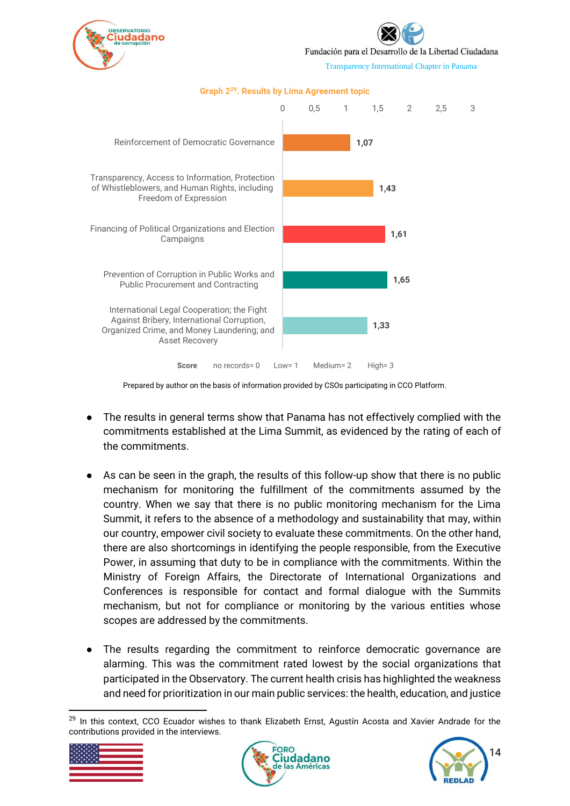

Fundación para el Desarrollo de la Libertad Ciudadana

Transparency International Chapter in Panama



#### **Graph 2<sup>29</sup>. Results by Lima Agreement topic**

Prepared by author on the basis of information provided by CSOs participating in CCO Platform.

- The results in general terms show that Panama has not effectively complied with the commitments established at the Lima Summit, as evidenced by the rating of each of the commitments.
- As can be seen in the graph, the results of this follow-up show that there is no public mechanism for monitoring the fulfillment of the commitments assumed by the country. When we say that there is no public monitoring mechanism for the Lima Summit, it refers to the absence of a methodology and sustainability that may, within our country, empower civil society to evaluate these commitments. On the other hand, there are also shortcomings in identifying the people responsible, from the Executive Power, in assuming that duty to be in compliance with the commitments. Within the Ministry of Foreign Affairs, the Directorate of International Organizations and Conferences is responsible for contact and formal dialogue with the Summits mechanism, but not for compliance or monitoring by the various entities whose scopes are addressed by the commitments.
- The results regarding the commitment to reinforce democratic governance are alarming. This was the commitment rated lowest by the social organizations that participated in the Observatory. The current health crisis has highlighted the weakness and need for prioritization in our main public services: the health, education, and justice

 $29$  In this context, CCO Ecuador wishes to thank Elizabeth Ernst, Agustín Acosta and Xavier Andrade for the contributions provided in the interviews.





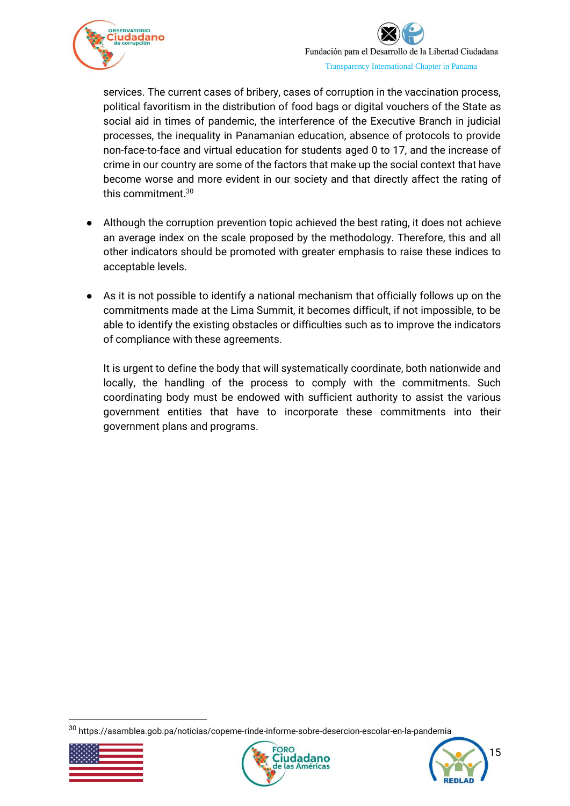

services. The current cases of bribery, cases of corruption in the vaccination process, political favoritism in the distribution of food bags or digital vouchers of the State as social aid in times of pandemic, the interference of the Executive Branch in judicial processes, the inequality in Panamanian education, absence of protocols to provide non-face-to-face and virtual education for students aged 0 to 17, and the increase of crime in our country are some of the factors that make up the social context that have become worse and more evident in our society and that directly affect the rating of this commitment. 30

- Although the corruption prevention topic achieved the best rating, it does not achieve an average index on the scale proposed by the methodology. Therefore, this and all other indicators should be promoted with greater emphasis to raise these indices to acceptable levels.
- As it is not possible to identify a national mechanism that officially follows up on the commitments made at the Lima Summit, it becomes difficult, if not impossible, to be able to identify the existing obstacles or difficulties such as to improve the indicators of compliance with these agreements.

It is urgent to define the body that will systematically coordinate, both nationwide and locally, the handling of the process to comply with the commitments. Such coordinating body must be endowed with sufficient authority to assist the various government entities that have to incorporate these commitments into their government plans and programs.

<sup>30</sup> https://asamblea.gob.pa/noticias/copeme-rinde-informe-sobre-desercion-escolar-en-la-pandemia





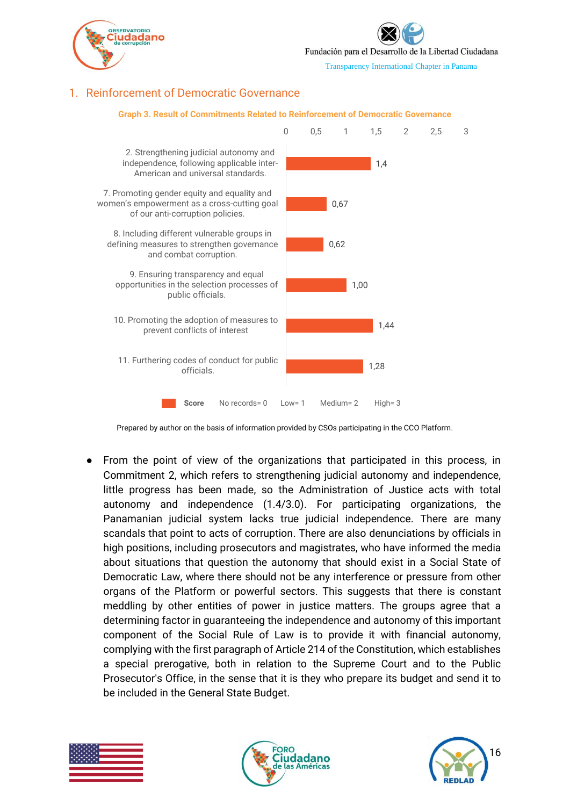

Fundación para el Desarrollo de la Libertad Ciudadana

Transparency International Chapter in Panama

## <span id="page-16-0"></span>1. Reinforcement of Democratic Governance



#### **Graph 3. Result of Commitments Related to Reinforcement of Democratic Governance**

Prepared by author on the basis of information provided by CSOs participating in the CCO Platform.

From the point of view of the organizations that participated in this process, in Commitment 2, which refers to strengthening judicial autonomy and independence, little progress has been made, so the Administration of Justice acts with total autonomy and independence (1.4/3.0). For participating organizations, the Panamanian judicial system lacks true judicial independence. There are many scandals that point to acts of corruption. There are also denunciations by officials in high positions, including prosecutors and magistrates, who have informed the media about situations that question the autonomy that should exist in a Social State of Democratic Law, where there should not be any interference or pressure from other organs of the Platform or powerful sectors. This suggests that there is constant meddling by other entities of power in justice matters. The groups agree that a determining factor in guaranteeing the independence and autonomy of this important component of the Social Rule of Law is to provide it with financial autonomy, complying with the first paragraph of Article 214 of the Constitution, which establishes a special prerogative, both in relation to the Supreme Court and to the Public Prosecutor's Office, in the sense that it is they who prepare its budget and send it to be included in the General State Budget.





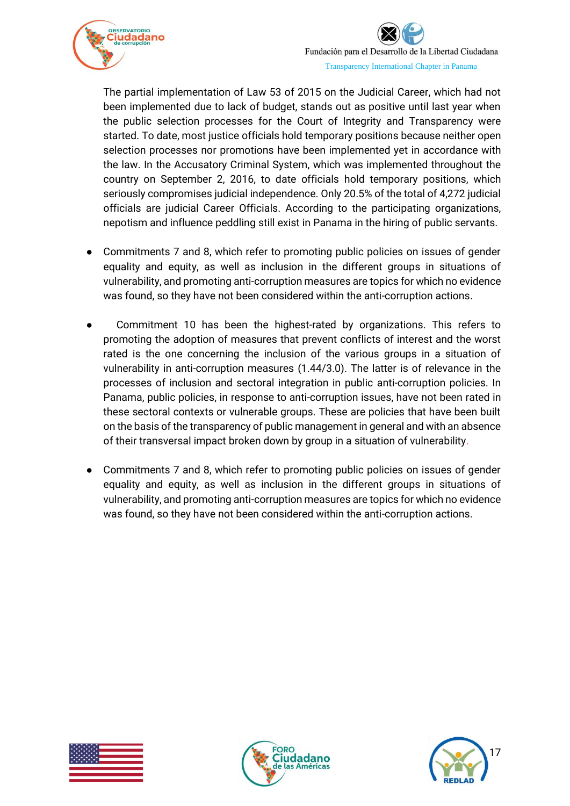

The partial implementation of Law 53 of 2015 on the Judicial Career, which had not been implemented due to lack of budget, stands out as positive until last year when the public selection processes for the Court of Integrity and Transparency were started. To date, most justice officials hold temporary positions because neither open selection processes nor promotions have been implemented yet in accordance with the law. In the Accusatory Criminal System, which was implemented throughout the country on September 2, 2016, to date officials hold temporary positions, which seriously compromises judicial independence. Only 20.5% of the total of 4,272 judicial officials are judicial Career Officials. According to the participating organizations, nepotism and influence peddling still exist in Panama in the hiring of public servants.

- Commitments 7 and 8, which refer to promoting public policies on issues of gender equality and equity, as well as inclusion in the different groups in situations of vulnerability, and promoting anti-corruption measures are topics for which no evidence was found, so they have not been considered within the anti-corruption actions.
- Commitment 10 has been the highest-rated by organizations. This refers to promoting the adoption of measures that prevent conflicts of interest and the worst rated is the one concerning the inclusion of the various groups in a situation of vulnerability in anti-corruption measures (1.44/3.0). The latter is of relevance in the processes of inclusion and sectoral integration in public anti-corruption policies. In Panama, public policies, in response to anti-corruption issues, have not been rated in these sectoral contexts or vulnerable groups. These are policies that have been built on the basis of the transparency of public management in general and with an absence of their transversal impact broken down by group in a situation of vulnerability.
- Commitments 7 and 8, which refer to promoting public policies on issues of gender equality and equity, as well as inclusion in the different groups in situations of vulnerability, and promoting anti-corruption measures are topics for which no evidence was found, so they have not been considered within the anti-corruption actions.





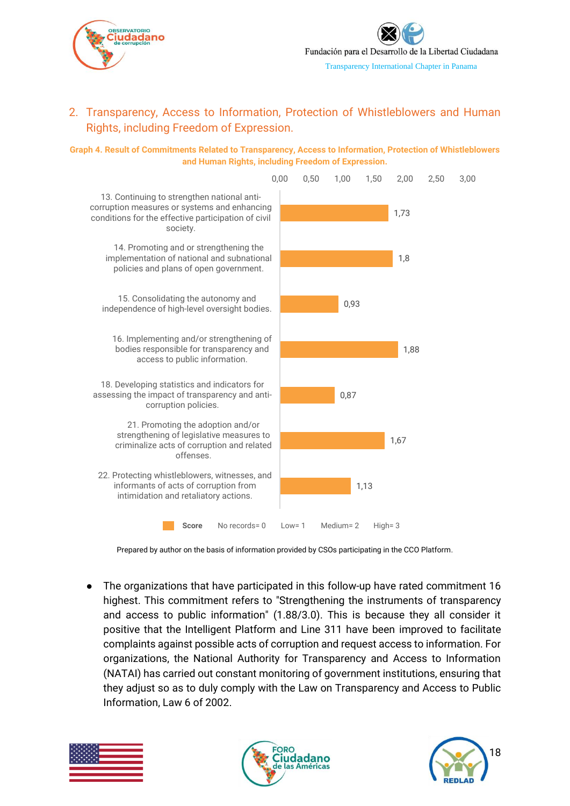

## <span id="page-18-0"></span>2. Transparency, Access to Information, Protection of Whistleblowers and Human Rights, including Freedom of Expression.

**Graph 4. Result of Commitments Related to Transparency, Access to Information, Protection of Whistleblowers and Human Rights, including Freedom of Expression.**



Prepared by author on the basis of information provided by CSOs participating in the CCO Platform.

The organizations that have participated in this follow-up have rated commitment 16 highest. This commitment refers to "Strengthening the instruments of transparency and access to public information" (1.88/3.0). This is because they all consider it positive that the Intelligent Platform and Line 311 have been improved to facilitate complaints against possible acts of corruption and request access to information. For organizations, the National Authority for Transparency and Access to Information (NATAI) has carried out constant monitoring of government institutions, ensuring that they adjust so as to duly comply with the Law on Transparency and Access to Public Information, Law 6 of 2002.





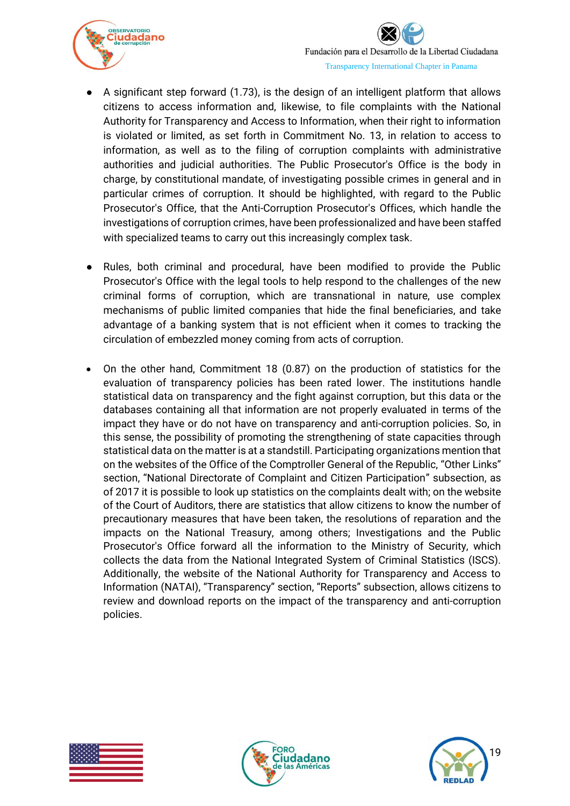

- A significant step forward (1.73), is the design of an intelligent platform that allows citizens to access information and, likewise, to file complaints with the National Authority for Transparency and Access to Information, when their right to information is violated or limited, as set forth in Commitment No. 13, in relation to access to information, as well as to the filing of corruption complaints with administrative authorities and judicial authorities. The Public Prosecutor's Office is the body in charge, by constitutional mandate, of investigating possible crimes in general and in particular crimes of corruption. It should be highlighted, with regard to the Public Prosecutor's Office, that the Anti-Corruption Prosecutor's Offices, which handle the investigations of corruption crimes, have been professionalized and have been staffed with specialized teams to carry out this increasingly complex task.
- Rules, both criminal and procedural, have been modified to provide the Public Prosecutor's Office with the legal tools to help respond to the challenges of the new criminal forms of corruption, which are transnational in nature, use complex mechanisms of public limited companies that hide the final beneficiaries, and take advantage of a banking system that is not efficient when it comes to tracking the circulation of embezzled money coming from acts of corruption.
- On the other hand, Commitment 18 (0.87) on the production of statistics for the evaluation of transparency policies has been rated lower. The institutions handle statistical data on transparency and the fight against corruption, but this data or the databases containing all that information are not properly evaluated in terms of the impact they have or do not have on transparency and anti-corruption policies. So, in this sense, the possibility of promoting the strengthening of state capacities through statistical data on the matter is at a standstill. Participating organizations mention that on the websites of the Office of the Comptroller General of the Republic, "Other Links" section, "National Directorate of Complaint and Citizen Participation" subsection, as of 2017 it is possible to look up statistics on the complaints dealt with; on the website of the Court of Auditors, there are statistics that allow citizens to know the number of precautionary measures that have been taken, the resolutions of reparation and the impacts on the National Treasury, among others; Investigations and the Public Prosecutor's Office forward all the information to the Ministry of Security, which collects the data from the National Integrated System of Criminal Statistics (ISCS). Additionally, the website of the National Authority for Transparency and Access to Information (NATAI), "Transparency" section, "Reports" subsection, allows citizens to review and download reports on the impact of the transparency and anti-corruption policies.





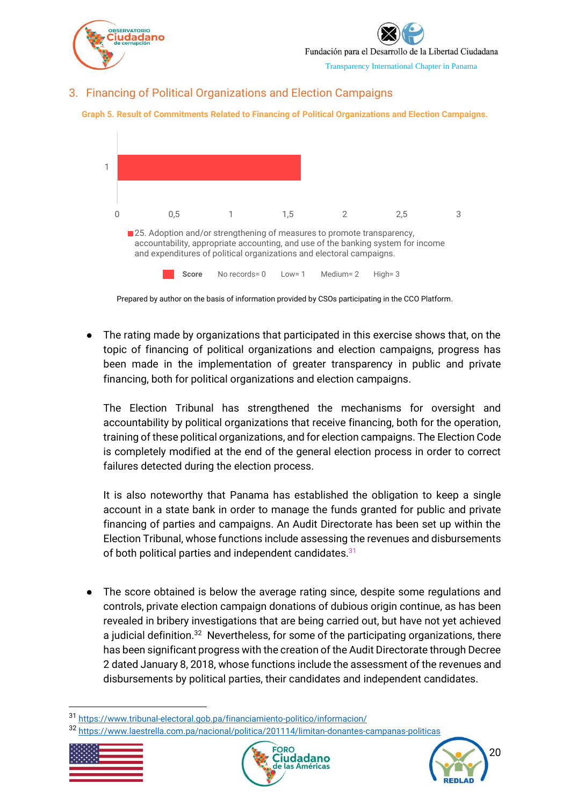

Fundación para el Desarrollo de la Libertad Ciudadana

Transparency International Chapter in Panama

## <span id="page-20-0"></span>3. Financing of Political Organizations and Election Campaigns





Prepared by author on the basis of information provided by CSOs participating in the CCO Platform.

The rating made by organizations that participated in this exercise shows that, on the topic of financing of political organizations and election campaigns, progress has been made in the implementation of greater transparency in public and private financing, both for political organizations and election campaigns.

The Election Tribunal has strengthened the mechanisms for oversight and accountability by political organizations that receive financing, both for the operation, training of these political organizations, and for election campaigns. The Election Code is completely modified at the end of the general election process in order to correct failures detected during the election process.

It is also noteworthy that Panama has established the obligation to keep a single account in a state bank in order to manage the funds granted for public and private financing of parties and campaigns. An Audit Directorate has been set up within the Election Tribunal, whose functions include assessing the revenues and disbursements of both political parties and independent candidates.<sup>31</sup>

● The score obtained is below the average rating since, despite some regulations and controls, private election campaign donations of dubious origin continue, as has been revealed in bribery investigations that are being carried out, but have not yet achieved a judicial definition.<sup>32</sup> Nevertheless, for some of the participating organizations, there has been significant progress with the creation of the Audit Directorate through Decree 2 dated January 8, 2018, whose functions include the assessment of the revenues and disbursements by political parties, their candidates and independent candidates.

<sup>32</sup> <https://www.laestrella.com.pa/nacional/politica/201114/limitan-donantes-campanas-politicas>







<sup>31</sup> <https://www.tribunal-electoral.gob.pa/financiamiento-politico/informacion/>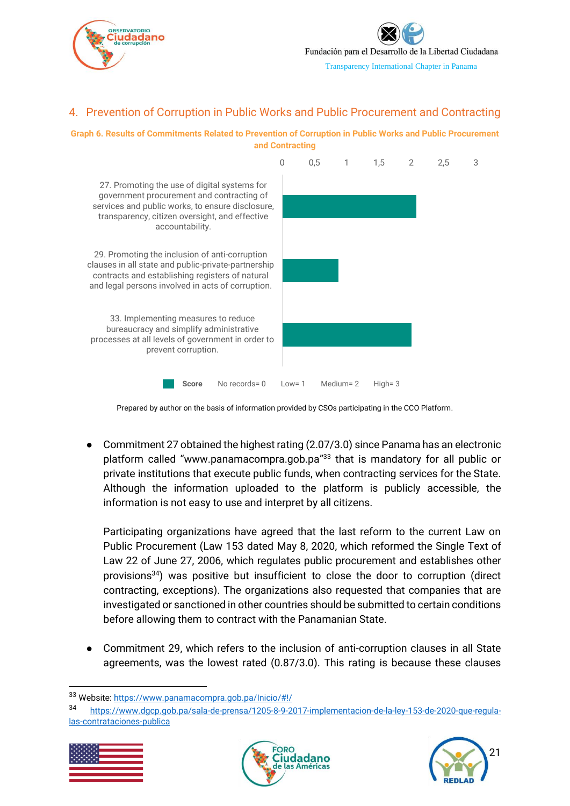

## <span id="page-21-0"></span>4. Prevention of Corruption in Public Works and Public Procurement and Contracting





Prepared by author on the basis of information provided by CSOs participating in the CCO Platform.

● Commitment 27 obtained the highest rating (2.07/3.0) since Panama has an electronic platform called "www.panamacompra.gob.pa" <sup>33</sup> that is mandatory for all public or private institutions that execute public funds, when contracting services for the State. Although the information uploaded to the platform is publicly accessible, the information is not easy to use and interpret by all citizens.

Participating organizations have agreed that the last reform to the current Law on Public Procurement (Law 153 dated May 8, 2020, which reformed the Single Text of Law 22 of June 27, 2006, which regulates public procurement and establishes other provisions <sup>34</sup>) was positive but insufficient to close the door to corruption (direct contracting, exceptions). The organizations also requested that companies that are investigated or sanctioned in other countries should be submitted to certain conditions before allowing them to contract with the Panamanian State.

Commitment 29, which refers to the inclusion of anti-corruption clauses in all State agreements, was the lowest rated (0.87/3.0). This rating is because these clauses

<sup>34</sup> [https://www.dgcp.gob.pa/sala-de-prensa/1205-8-9-2017-implementacion-de-la-ley-153-de-2020-que-regula](https://www.dgcp.gob.pa/sala-de-prensa/1205-8-9-2017-implementacion-de-la-ley-153-de-2020-que-regula-las-contrataciones-publica)[las-contrataciones-publica](https://www.dgcp.gob.pa/sala-de-prensa/1205-8-9-2017-implementacion-de-la-ley-153-de-2020-que-regula-las-contrataciones-publica)







<sup>33</sup> Website:<https://www.panamacompra.gob.pa/Inicio/#!/>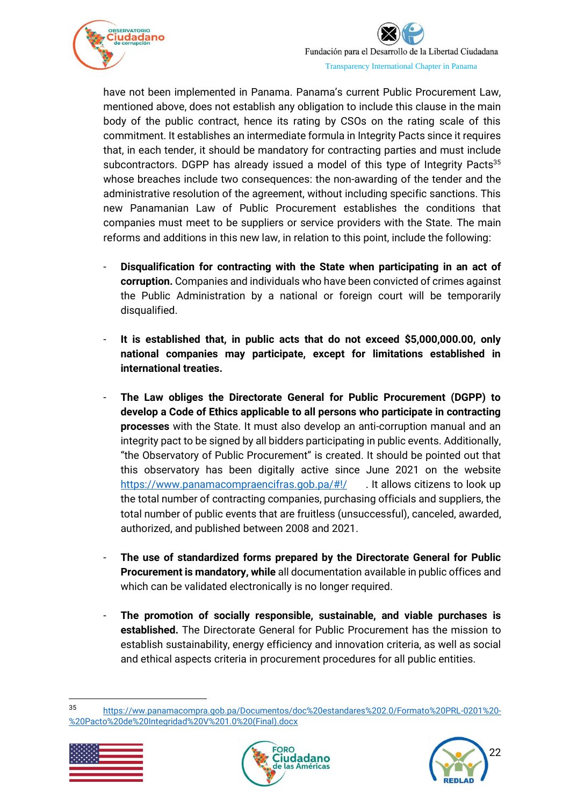

have not been implemented in Panama. Panama's current Public Procurement Law, mentioned above, does not establish any obligation to include this clause in the main body of the public contract, hence its rating by CSOs on the rating scale of this commitment. It establishes an intermediate formula in Integrity Pacts since it requires that, in each tender, it should be mandatory for contracting parties and must include subcontractors. DGPP has already issued a model of this type of Integrity Pacts<sup>35</sup> whose breaches include two consequences: the non-awarding of the tender and the administrative resolution of the agreement, without including specific sanctions. This new Panamanian Law of Public Procurement establishes the conditions that companies must meet to be suppliers or service providers with the State. The main reforms and additions in this new law, in relation to this point, include the following:

- **Disqualification for contracting with the State when participating in an act of corruption.** Companies and individuals who have been convicted of crimes against the Public Administration by a national or foreign court will be temporarily disqualified.
- **It is established that, in public acts that do not exceed \$5,000,000.00, only national companies may participate, except for limitations established in international treaties.**
- **The Law obliges the Directorate General for Public Procurement (DGPP) to develop a Code of Ethics applicable to all persons who participate in contracting processes** with the State. It must also develop an anti-corruption manual and an integrity pact to be signed by all bidders participating in public events. Additionally, "the Observatory of Public Procurement" is created. It should be pointed out that this observatory has been digitally active since June 2021 on the website <https://www.panamacompraencifras.gob.pa/#!/> . It allows citizens to look up the total number of contracting companies, purchasing officials and suppliers, the total number of public events that are fruitless (unsuccessful), canceled, awarded, authorized, and published between 2008 and 2021.
- **The use of standardized forms prepared by the Directorate General for Public Procurement is mandatory, while** all documentation available in public offices and which can be validated electronically is no longer required.
- **The promotion of socially responsible, sustainable, and viable purchases is established.** The Directorate General for Public Procurement has the mission to establish sustainability, energy efficiency and innovation criteria, as well as social and ethical aspects criteria in procurement procedures for all public entities.

<sup>35</sup> [https://ww.panamacompra.gob.pa/Documentos/doc%20estandares%202.0/Formato%20PRL-0201%20-](https://ww.panamacompra.gob.pa/Documentos/doc%20estandares%202.0/Formato%20PRL-0201%20-%20Pacto%20de%20Integridad%20V%201.0%20(Final).docx) [%20Pacto%20de%20Integridad%20V%201.0%20\(Final\).docx](https://ww.panamacompra.gob.pa/Documentos/doc%20estandares%202.0/Formato%20PRL-0201%20-%20Pacto%20de%20Integridad%20V%201.0%20(Final).docx)





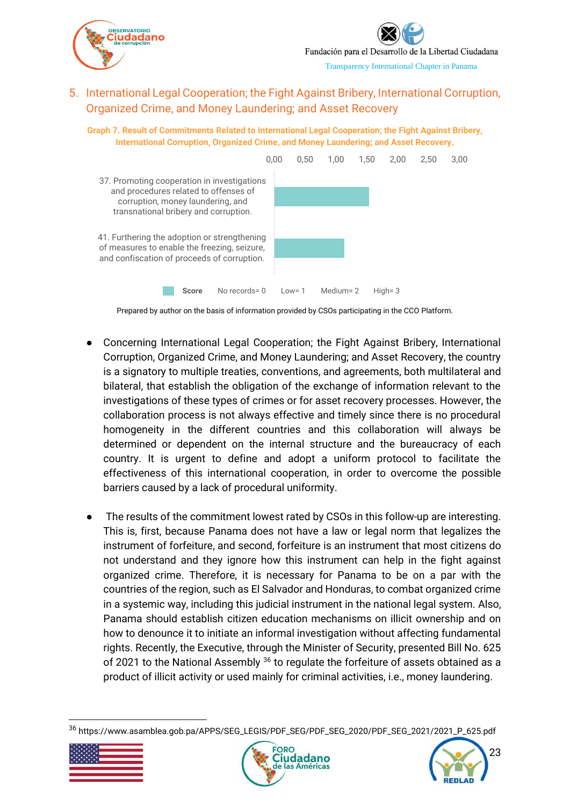

## <span id="page-23-0"></span>5. International Legal Cooperation; the Fight Against Bribery, International Corruption, Organized Crime, and Money Laundering; and Asset Recovery

**Graph 7. Result of Commitments Related to International Legal Cooperation; the Fight Against Bribery, International Corruption, Organized Crime, and Money Laundering; and Asset Recovery.**



Prepared by author on the basis of information provided by CSOs participating in the CCO Platform.

- Concerning International Legal Cooperation; the Fight Against Bribery, International Corruption, Organized Crime, and Money Laundering; and Asset Recovery, the country is a signatory to multiple treaties, conventions, and agreements, both multilateral and bilateral, that establish the obligation of the exchange of information relevant to the investigations of these types of crimes or for asset recovery processes. However, the collaboration process is not always effective and timely since there is no procedural homogeneity in the different countries and this collaboration will always be determined or dependent on the internal structure and the bureaucracy of each country. It is urgent to define and adopt a uniform protocol to facilitate the effectiveness of this international cooperation, in order to overcome the possible barriers caused by a lack of procedural uniformity.
- The results of the commitment lowest rated by CSOs in this follow-up are interesting. This is, first, because Panama does not have a law or legal norm that legalizes the instrument of forfeiture, and second, forfeiture is an instrument that most citizens do not understand and they ignore how this instrument can help in the fight against organized crime. Therefore, it is necessary for Panama to be on a par with the countries of the region, such as El Salvador and Honduras, to combat organized crime in a systemic way, including this judicial instrument in the national legal system. Also, Panama should establish citizen education mechanisms on illicit ownership and on how to denounce it to initiate an informal investigation without affecting fundamental rights. Recently, the Executive, through the Minister of Security, presented Bill No. 625 of 2021 to the National Assembly <sup>36</sup> to regulate the forfeiture of assets obtained as a product of illicit activity or used mainly for criminal activities, i.e., money laundering.

<sup>36</sup> https://www.asamblea.gob.pa/APPS/SEG\_LEGIS/PDF\_SEG/PDF\_SEG\_2020/PDF\_SEG\_2021/2021\_P\_625.pdf





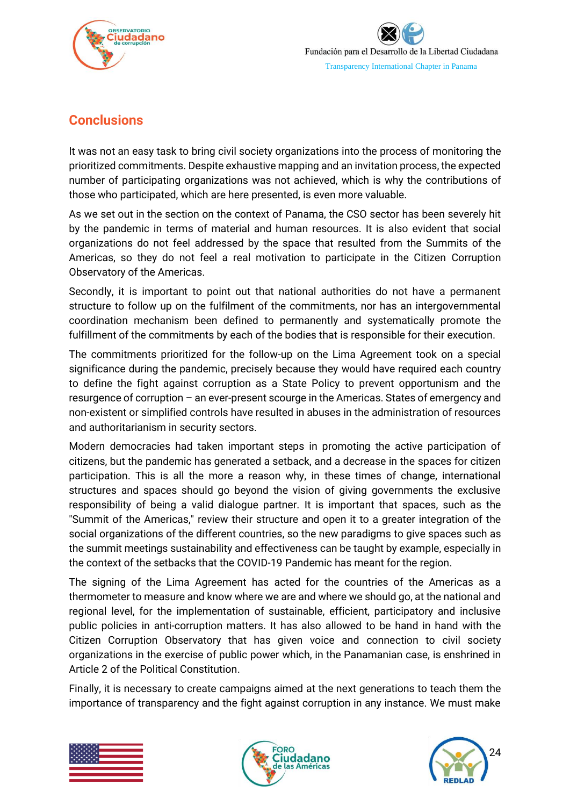



## <span id="page-24-0"></span>**Conclusions**

It was not an easy task to bring civil society organizations into the process of monitoring the prioritized commitments. Despite exhaustive mapping and an invitation process, the expected number of participating organizations was not achieved, which is why the contributions of those who participated, which are here presented, is even more valuable.

As we set out in the section on the context of Panama, the CSO sector has been severely hit by the pandemic in terms of material and human resources. It is also evident that social organizations do not feel addressed by the space that resulted from the Summits of the Americas, so they do not feel a real motivation to participate in the Citizen Corruption Observatory of the Americas.

Secondly, it is important to point out that national authorities do not have a permanent structure to follow up on the fulfilment of the commitments, nor has an intergovernmental coordination mechanism been defined to permanently and systematically promote the fulfillment of the commitments by each of the bodies that is responsible for their execution.

The commitments prioritized for the follow-up on the Lima Agreement took on a special significance during the pandemic, precisely because they would have required each country to define the fight against corruption as a State Policy to prevent opportunism and the resurgence of corruption – an ever-present scourge in the Americas. States of emergency and non-existent or simplified controls have resulted in abuses in the administration of resources and authoritarianism in security sectors.

Modern democracies had taken important steps in promoting the active participation of citizens, but the pandemic has generated a setback, and a decrease in the spaces for citizen participation. This is all the more a reason why, in these times of change, international structures and spaces should go beyond the vision of giving governments the exclusive responsibility of being a valid dialogue partner. It is important that spaces, such as the "Summit of the Americas," review their structure and open it to a greater integration of the social organizations of the different countries, so the new paradigms to give spaces such as the summit meetings sustainability and effectiveness can be taught by example, especially in the context of the setbacks that the COVID-19 Pandemic has meant for the region.

The signing of the Lima Agreement has acted for the countries of the Americas as a thermometer to measure and know where we are and where we should go, at the national and regional level, for the implementation of sustainable, efficient, participatory and inclusive public policies in anti-corruption matters. It has also allowed to be hand in hand with the Citizen Corruption Observatory that has given voice and connection to civil society organizations in the exercise of public power which, in the Panamanian case, is enshrined in Article 2 of the Political Constitution.

Finally, it is necessary to create campaigns aimed at the next generations to teach them the importance of transparency and the fight against corruption in any instance. We must make





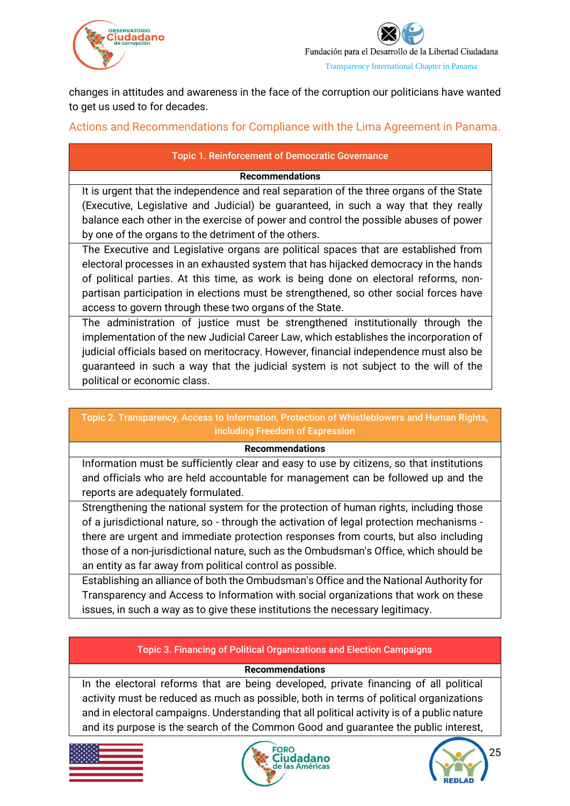



changes in attitudes and awareness in the face of the corruption our politicians have wanted to get us used to for decades.

<span id="page-25-0"></span>Actions and Recommendations for Compliance with the Lima Agreement in Panama.

### Topic 1. Reinforcement of Democratic Governance

### **Recommendations**

It is urgent that the independence and real separation of the three organs of the State (Executive, Legislative and Judicial) be guaranteed, in such a way that they really balance each other in the exercise of power and control the possible abuses of power by one of the organs to the detriment of the others.

The Executive and Legislative organs are political spaces that are established from electoral processes in an exhausted system that has hijacked democracy in the hands of political parties. At this time, as work is being done on electoral reforms, nonpartisan participation in elections must be strengthened, so other social forces have access to govern through these two organs of the State.

The administration of justice must be strengthened institutionally through the implementation of the new Judicial Career Law, which establishes the incorporation of judicial officials based on meritocracy. However, financial independence must also be guaranteed in such a way that the judicial system is not subject to the will of the political or economic class.

### Topic 2. Transparency, Access to Information, Protection of Whistleblowers and Human Rights, including Freedom of Expression

#### **Recommendations**

Information must be sufficiently clear and easy to use by citizens, so that institutions and officials who are held accountable for management can be followed up and the reports are adequately formulated.

Strengthening the national system for the protection of human rights, including those of a jurisdictional nature, so - through the activation of legal protection mechanisms there are urgent and immediate protection responses from courts, but also including those of a non-jurisdictional nature, such as the Ombudsman's Office, which should be an entity as far away from political control as possible.

Establishing an alliance of both the Ombudsman's Office and the National Authority for Transparency and Access to Information with social organizations that work on these issues, in such a way as to give these institutions the necessary legitimacy.

## Topic 3. Financing of Political Organizations and Election Campaigns

### **Recommendations**

In the electoral reforms that are being developed, private financing of all political activity must be reduced as much as possible, both in terms of political organizations and in electoral campaigns. Understanding that all political activity is of a public nature and its purpose is the search of the Common Good and guarantee the public interest,





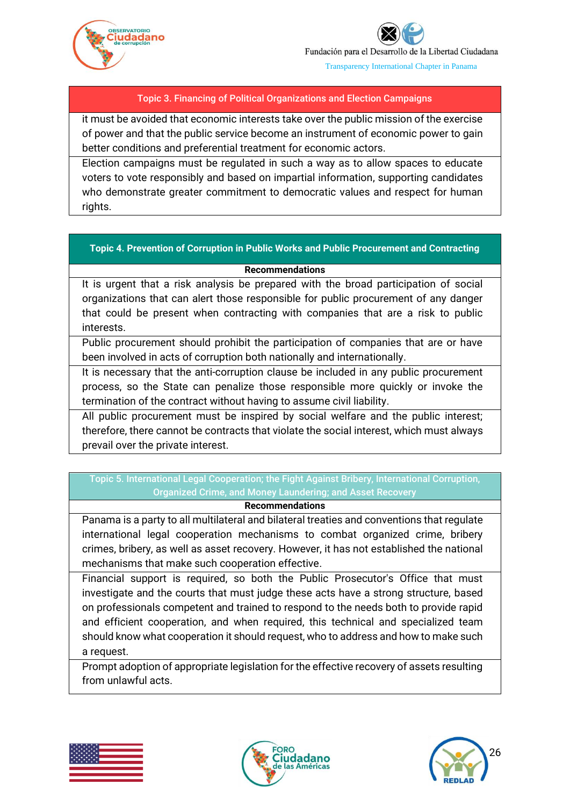



### Topic 3. Financing of Political Organizations and Election Campaigns

it must be avoided that economic interests take over the public mission of the exercise of power and that the public service become an instrument of economic power to gain better conditions and preferential treatment for economic actors.

Election campaigns must be regulated in such a way as to allow spaces to educate voters to vote responsibly and based on impartial information, supporting candidates who demonstrate greater commitment to democratic values and respect for human rights.

#### **Topic 4. Prevention of Corruption in Public Works and Public Procurement and Contracting**

#### **Recommendations**

It is urgent that a risk analysis be prepared with the broad participation of social organizations that can alert those responsible for public procurement of any danger that could be present when contracting with companies that are a risk to public interests.

Public procurement should prohibit the participation of companies that are or have been involved in acts of corruption both nationally and internationally.

It is necessary that the anti-corruption clause be included in any public procurement process, so the State can penalize those responsible more quickly or invoke the termination of the contract without having to assume civil liability.

All public procurement must be inspired by social welfare and the public interest; therefore, there cannot be contracts that violate the social interest, which must always prevail over the private interest.

## Topic 5. International Legal Cooperation; the Fight Against Bribery, International Corruption, Organized Crime, and Money Laundering; and Asset Recovery

#### **Recommendations**

Panama is a party to all multilateral and bilateral treaties and conventions that regulate international legal cooperation mechanisms to combat organized crime, bribery crimes, bribery, as well as asset recovery. However, it has not established the national mechanisms that make such cooperation effective.

Financial support is required, so both the Public Prosecutor's Office that must investigate and the courts that must judge these acts have a strong structure, based on professionals competent and trained to respond to the needs both to provide rapid and efficient cooperation, and when required, this technical and specialized team should know what cooperation it should request, who to address and how to make such a request.

Prompt adoption of appropriate legislation for the effective recovery of assets resulting from unlawful acts.





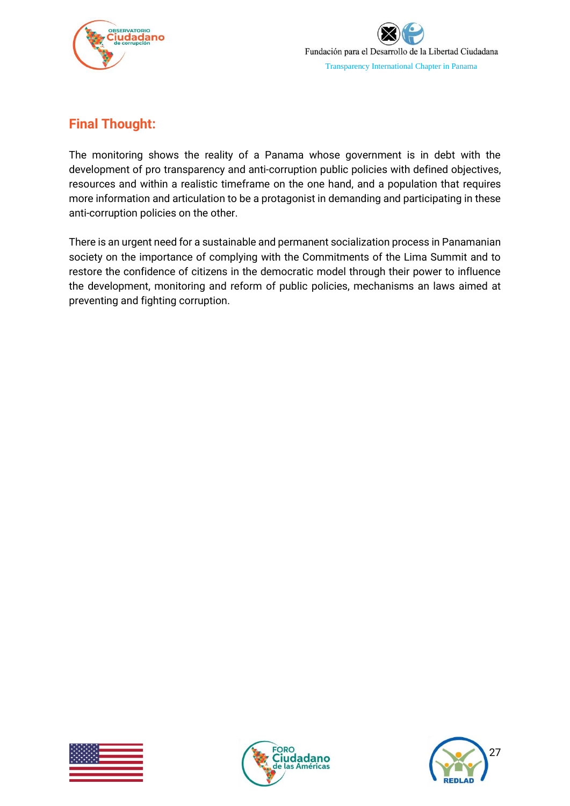



## <span id="page-27-0"></span>**Final Thought:**

The monitoring shows the reality of a Panama whose government is in debt with the development of pro transparency and anti-corruption public policies with defined objectives, resources and within a realistic timeframe on the one hand, and a population that requires more information and articulation to be a protagonist in demanding and participating in these anti-corruption policies on the other.

There is an urgent need for a sustainable and permanent socialization process in Panamanian society on the importance of complying with the Commitments of the Lima Summit and to restore the confidence of citizens in the democratic model through their power to influence the development, monitoring and reform of public policies, mechanisms an laws aimed at preventing and fighting corruption.





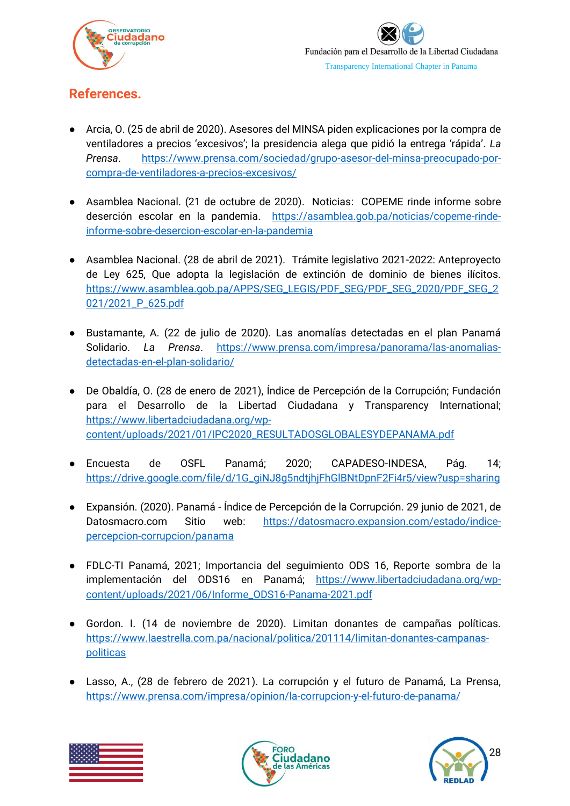

# <span id="page-28-0"></span>**References.**

- Arcia, O. (25 de abril de 2020). Asesores del MINSA piden explicaciones por la compra de ventiladores a precios 'excesivos'; la presidencia alega que pidió la entrega 'rápida'. *La Prensa*. [https://www.prensa.com/sociedad/grupo-asesor-del-minsa-preocupado-por](https://www.prensa.com/sociedad/grupo-asesor-del-minsa-preocupado-por-compra-de-ventiladores-a-precios-excesivos/)[compra-de-ventiladores-a-precios-excesivos/](https://www.prensa.com/sociedad/grupo-asesor-del-minsa-preocupado-por-compra-de-ventiladores-a-precios-excesivos/)
- Asamblea Nacional. (21 de octubre de 2020). Noticias: [COPEME rinde informe sobre](https://asamblea.gob.pa/noticias/copeme-rinde-informe-sobre-desercion-escolar-en-la-pandemia)  [deserción escolar en la pandemia.](https://asamblea.gob.pa/noticias/copeme-rinde-informe-sobre-desercion-escolar-en-la-pandemia) [https://asamblea.gob.pa/noticias/copeme-rinde](https://asamblea.gob.pa/noticias/copeme-rinde-informe-sobre-desercion-escolar-en-la-pandemia)[informe-sobre-desercion-escolar-en-la-pandemia](https://asamblea.gob.pa/noticias/copeme-rinde-informe-sobre-desercion-escolar-en-la-pandemia)
- Asamblea Nacional. (28 de abril de 2021). Trámite legislativo 2021-2022: Anteproyecto de Ley 625, Que adopta la legislación de extinción de dominio de bienes ilícitos. [https://www.asamblea.gob.pa/APPS/SEG\\_LEGIS/PDF\\_SEG/PDF\\_SEG\\_2020/PDF\\_SEG\\_2](https://www.asamblea.gob.pa/APPS/SEG_LEGIS/PDF_SEG/PDF_SEG_2020/PDF_SEG_2021/2021_P_625.pdf) [021/2021\\_P\\_625.pdf](https://www.asamblea.gob.pa/APPS/SEG_LEGIS/PDF_SEG/PDF_SEG_2020/PDF_SEG_2021/2021_P_625.pdf)
- Bustamante, A. (22 de julio de 2020). Las anomalías detectadas en el plan Panamá Solidario. *La Prensa*. [https://www.prensa.com/impresa/panorama/las-anomalias](https://www.prensa.com/impresa/panorama/las-anomalias-detectadas-en-el-plan-solidario/)[detectadas-en-el-plan-solidario/](https://www.prensa.com/impresa/panorama/las-anomalias-detectadas-en-el-plan-solidario/)
- De Obaldía, O. (28 de enero de 2021), Índice de Percepción de la Corrupción; Fundación para el Desarrollo de la Libertad Ciudadana y Transparency International; [https://www.libertadciudadana.org/wp](https://www.libertadciudadana.org/wp-%20content/uploads/2021/01/IPC2020_RESULTADOSGLOBALESYDEPANAMA.pdf)[content/uploads/2021/01/IPC2020\\_RESULTADOSGLOBALESYDEPANAMA.pdf](https://www.libertadciudadana.org/wp-%20content/uploads/2021/01/IPC2020_RESULTADOSGLOBALESYDEPANAMA.pdf)
- Encuesta de OSFL Panamá; 2020; CAPADESO-INDESA, Pág. 14; [https://drive.google.com/file/d/1G\\_giNJ8g5ndtjhjFhGlBNtDpnF2Fi4r5/view?usp=sharing](https://drive.google.com/file/d/1G_giNJ8g5ndtjhjFhGlBNtDpnF2Fi4r5/view?usp=sharing)
- Expansión. (2020). Panamá Índice de Percepción de la Corrupción. 29 junio de 2021, de Datosmacro.com Sitio web: [https://datosmacro.expansion.com/estado/indice](https://datosmacro.expansion.com/estado/indice-percepcion-corrupcion/panama)[percepcion-corrupcion/panama](https://datosmacro.expansion.com/estado/indice-percepcion-corrupcion/panama)
- FDLC-TI Panamá, 2021; Importancia del seguimiento ODS 16, Reporte sombra de la implementación del ODS16 en Panamá; [https://www.libertadciudadana.org/wp](https://www.libertadciudadana.org/wp-content/uploads/2021/06/Informe_ODS16-Panama-2021.pdf)[content/uploads/2021/06/Informe\\_ODS16-Panama-2021.pdf](https://www.libertadciudadana.org/wp-content/uploads/2021/06/Informe_ODS16-Panama-2021.pdf)
- Gordon. I. (14 de noviembre de 2020). Limitan donantes de campañas políticas. [https://www.laestrella.com.pa/nacional/politica/201114/limitan-donantes-campanas](https://www.laestrella.com.pa/nacional/politica/201114/limitan-donantes-campanas-politicas)[politicas](https://www.laestrella.com.pa/nacional/politica/201114/limitan-donantes-campanas-politicas)
- Lasso, A., (28 de febrero de 2021). La corrupción y el futuro de Panamá, La Prensa, <https://www.prensa.com/impresa/opinion/la-corrupcion-y-el-futuro-de-panama/>





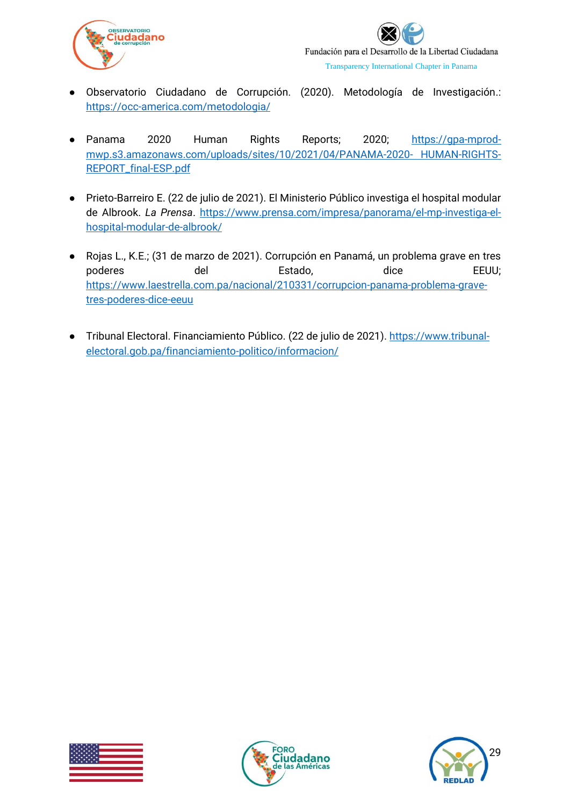



- Observatorio Ciudadano de Corrupción. (2020). Metodología de Investigación.: <https://occ-america.com/metodologia/>
- Panama 2020 Human Rights Reports; 2020; [https://gpa-mprod](https://gpa-mprod-mwp.s3.amazonaws.com/uploads/sites/10/2021/04/PANAMA-2020-%20HUMAN-RIGHTS-REPORT_final-ESP.pdf)[mwp.s3.amazonaws.com/uploads/sites/10/2021/04/PANAMA-2020-](https://gpa-mprod-mwp.s3.amazonaws.com/uploads/sites/10/2021/04/PANAMA-2020-%20HUMAN-RIGHTS-REPORT_final-ESP.pdf) HUMAN-RIGHTS-[REPORT\\_final-ESP.pdf](https://gpa-mprod-mwp.s3.amazonaws.com/uploads/sites/10/2021/04/PANAMA-2020-%20HUMAN-RIGHTS-REPORT_final-ESP.pdf)
- Prieto-Barreiro E. (22 de julio de 2021). El Ministerio Público investiga el hospital modular de Albrook. *La Prensa*. [https://www.prensa.com/impresa/panorama/el-mp-investiga-el](https://www.prensa.com/impresa/panorama/el-mp-investiga-el-hospital-modular-de-albrook/)[hospital-modular-de-albrook/](https://www.prensa.com/impresa/panorama/el-mp-investiga-el-hospital-modular-de-albrook/)
- Rojas L., K.E.; (31 de marzo de 2021). Corrupción en Panamá, un problema grave en tres poderes del Estado, dice EEUU; [https://www.laestrella.com.pa/nacional/210331/corrupcion-panama-problema-grave](https://www.laestrella.com.pa/nacional/210331/corrupcion-panama-problema-grave-tres-poderes-dice-eeuu)[tres-poderes-dice-eeuu](https://www.laestrella.com.pa/nacional/210331/corrupcion-panama-problema-grave-tres-poderes-dice-eeuu)
- Tribunal Electoral. Financiamiento Público. (22 de julio de 2021). [https://www.tribunal](https://www.tribunal-electoral.gob.pa/financiamiento-politico/informacion/)[electoral.gob.pa/financiamiento-politico/informacion/](https://www.tribunal-electoral.gob.pa/financiamiento-politico/informacion/)





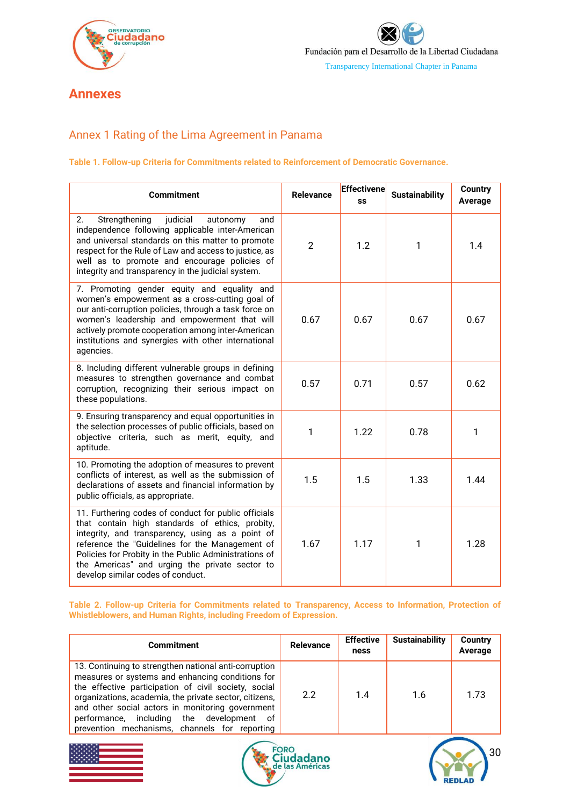

# <span id="page-30-0"></span>**Annexes**

## <span id="page-30-1"></span>Annex 1 Rating of the Lima Agreement in Panama

#### **Table 1. Follow-up Criteria for Commitments related to Reinforcement of Democratic Governance.**

| <b>Commitment</b>                                                                                                                                                                                                                                                                                                                                              | <b>Relevance</b> | <b>Effectivene</b><br>SS | <b>Sustainability</b> | <b>Country</b><br>Average |
|----------------------------------------------------------------------------------------------------------------------------------------------------------------------------------------------------------------------------------------------------------------------------------------------------------------------------------------------------------------|------------------|--------------------------|-----------------------|---------------------------|
| 2.<br>Strengthening<br>judicial<br>autonomy<br>and<br>independence following applicable inter-American<br>and universal standards on this matter to promote<br>respect for the Rule of Law and access to justice, as<br>well as to promote and encourage policies of<br>integrity and transparency in the judicial system.                                     | $\mathfrak{p}$   | 1.2                      | 1                     | 1.4                       |
| 7. Promoting gender equity and equality and<br>women's empowerment as a cross-cutting goal of<br>our anti-corruption policies, through a task force on<br>women's leadership and empowerment that will<br>actively promote cooperation among inter-American<br>institutions and synergies with other international<br>agencies.                                | 0.67             | 0.67                     | 0.67                  | 0.67                      |
| 8. Including different vulnerable groups in defining<br>measures to strengthen governance and combat<br>corruption, recognizing their serious impact on<br>these populations.                                                                                                                                                                                  | 0.57             | 0.71                     | 0.57                  | 0.62                      |
| 9. Ensuring transparency and equal opportunities in<br>the selection processes of public officials, based on<br>objective criteria, such as merit, equity, and<br>aptitude.                                                                                                                                                                                    | 1                | 1.22                     | 0.78                  | 1                         |
| 10. Promoting the adoption of measures to prevent<br>conflicts of interest, as well as the submission of<br>declarations of assets and financial information by<br>public officials, as appropriate.                                                                                                                                                           | 1.5              | 1.5                      | 1.33                  | 1.44                      |
| 11. Furthering codes of conduct for public officials<br>that contain high standards of ethics, probity,<br>integrity, and transparency, using as a point of<br>reference the "Guidelines for the Management of<br>Policies for Probity in the Public Administrations of<br>the Americas" and urging the private sector to<br>develop similar codes of conduct. | 1.67             | 1.17                     | $\mathbf{1}$          | 1.28                      |

#### **Table 2. Follow-up Criteria for Commitments related to Transparency, Access to Information, Protection of Whistleblowers, and Human Rights, including Freedom of Expression.**

| Commitment                                                                                                                                                                                                                                                                                                                                                                       | <b>Relevance</b> | <b>Effective</b><br>ness | <b>Sustainability</b> | Country<br>Average |
|----------------------------------------------------------------------------------------------------------------------------------------------------------------------------------------------------------------------------------------------------------------------------------------------------------------------------------------------------------------------------------|------------------|--------------------------|-----------------------|--------------------|
| 13. Continuing to strengthen national anti-corruption<br>measures or systems and enhancing conditions for<br>the effective participation of civil society, social<br>organizations, academia, the private sector, citizens,<br>and other social actors in monitoring government<br>performance, including the development<br>0f<br>prevention mechanisms, channels for reporting | 2.2              | 1.4                      | 1.6                   | 1.73               |





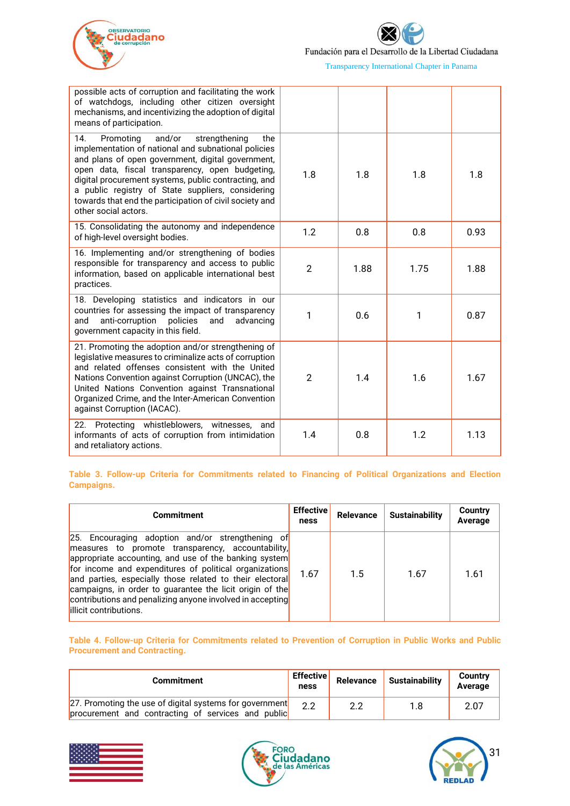



Fundación para el Desarrollo de la Libertad Ciudadana

Transparency International Chapter in Panama

| possible acts of corruption and facilitating the work<br>of watchdogs, including other citizen oversight<br>mechanisms, and incentivizing the adoption of digital<br>means of participation.                                                                                                                                                                                                                      |                |      |      |      |
|-------------------------------------------------------------------------------------------------------------------------------------------------------------------------------------------------------------------------------------------------------------------------------------------------------------------------------------------------------------------------------------------------------------------|----------------|------|------|------|
| 14.<br>and/or<br>Promoting<br>strengthening<br>the<br>implementation of national and subnational policies<br>and plans of open government, digital government,<br>open data, fiscal transparency, open budgeting,<br>digital procurement systems, public contracting, and<br>a public registry of State suppliers, considering<br>towards that end the participation of civil society and<br>other social actors. | 1.8            | 1.8  | 1.8  | 1.8  |
| 15. Consolidating the autonomy and independence<br>of high-level oversight bodies.                                                                                                                                                                                                                                                                                                                                | 1.2            | 0.8  | 0.8  | 0.93 |
| 16. Implementing and/or strengthening of bodies<br>responsible for transparency and access to public<br>information, based on applicable international best<br>practices.                                                                                                                                                                                                                                         | $\overline{2}$ | 1.88 | 1.75 | 1.88 |
| 18. Developing statistics and indicators in our<br>countries for assessing the impact of transparency<br>and<br>anti-corruption<br>policies<br>advancing<br>and<br>government capacity in this field.                                                                                                                                                                                                             | 1              | 0.6  | 1    | 0.87 |
| 21. Promoting the adoption and/or strengthening of<br>legislative measures to criminalize acts of corruption<br>and related offenses consistent with the United<br>Nations Convention against Corruption (UNCAC), the<br>United Nations Convention against Transnational<br>Organized Crime, and the Inter-American Convention<br>against Corruption (IACAC).                                                     | $\overline{2}$ | 1.4  | 1.6  | 1.67 |
| Protecting whistleblowers,<br>22.<br>witnesses,<br>and<br>informants of acts of corruption from intimidation<br>and retaliatory actions.                                                                                                                                                                                                                                                                          | 1.4            | 0.8  | 1.2  | 1.13 |

**Table 3. Follow-up Criteria for Commitments related to Financing of Political Organizations and Election Campaigns.**

| <b>Commitment</b>                                                                                                                                                                                                                                                                                                                                                                                                                        | <b>Effective</b><br>ness | <b>Relevance</b> | <b>Sustainability</b> | <b>Country</b><br><b>Average</b> |
|------------------------------------------------------------------------------------------------------------------------------------------------------------------------------------------------------------------------------------------------------------------------------------------------------------------------------------------------------------------------------------------------------------------------------------------|--------------------------|------------------|-----------------------|----------------------------------|
| 25. Encouraging adoption and/or strengthening of<br>measures to promote transparency, accountability,<br>appropriate accounting, and use of the banking system<br>for income and expenditures of political organizations<br>and parties, especially those related to their electoral<br>campaigns, in order to guarantee the licit origin of the<br>contributions and penalizing anyone involved in accepting<br>lillicit contributions. | 1.67                     | 1.5              | 1.67                  | 1.61                             |

#### **Table 4. Follow-up Criteria for Commitments related to Prevention of Corruption in Public Works and Public Procurement and Contracting.**

| <b>Commitment</b>                                                                                             | <b>Effective</b><br>ness | Relevance | Sustainability | <b>Country</b><br>Average |
|---------------------------------------------------------------------------------------------------------------|--------------------------|-----------|----------------|---------------------------|
| 27. Promoting the use of digital systems for government<br>procurement and contracting of services and public | າາ                       | 2.2       | 1.8            | 2.07                      |